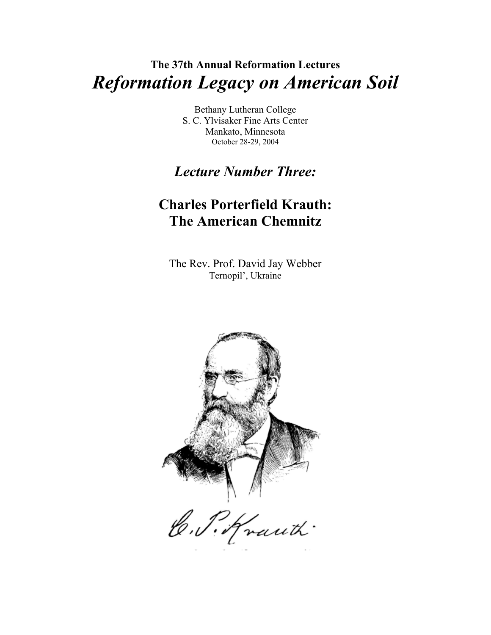# **The 37th Annual Reformation Lectures**  *Reformation Legacy on American Soil*

Bethany Lutheran College S. C. Ylvisaker Fine Arts Center Mankato, Minnesota October 28-29, 2004

## *Lecture Number Three:*

# **Charles Porterfield Krauth: The American Chemnitz**

The Rev. Prof. David Jay Webber Ternopil', Ukraine

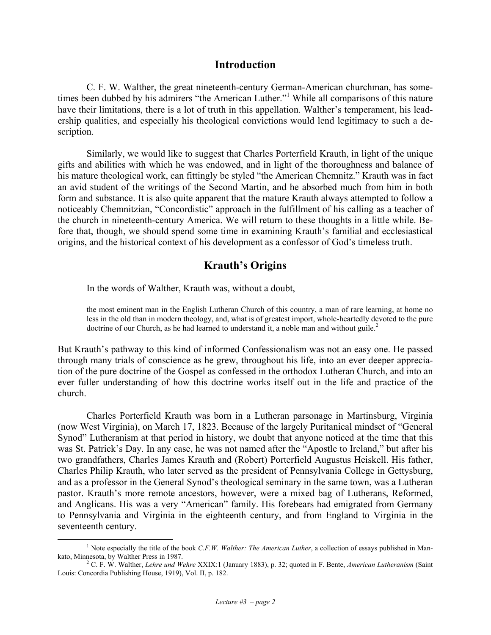#### **Introduction**

C. F. W. Walther, the great nineteenth-century German-American churchman, has some-times been dubbed by his admirers "the American Luther."<sup>[1](#page-1-0)</sup> While all comparisons of this nature have their limitations, there is a lot of truth in this appellation. Walther's temperament, his leadership qualities, and especially his theological convictions would lend legitimacy to such a description.

Similarly, we would like to suggest that Charles Porterfield Krauth, in light of the unique gifts and abilities with which he was endowed, and in light of the thoroughness and balance of his mature theological work, can fittingly be styled "the American Chemnitz." Krauth was in fact an avid student of the writings of the Second Martin, and he absorbed much from him in both form and substance. It is also quite apparent that the mature Krauth always attempted to follow a noticeably Chemnitzian, "Concordistic" approach in the fulfillment of his calling as a teacher of the church in nineteenth-century America. We will return to these thoughts in a little while. Before that, though, we should spend some time in examining Krauth's familial and ecclesiastical origins, and the historical context of his development as a confessor of God's timeless truth.

### **Krauth's Origins**

In the words of Walther, Krauth was, without a doubt,

the most eminent man in the English Lutheran Church of this country, a man of rare learning, at home no less in the old than in modern theology, and, what is of greatest import, whole-heartedly devoted to the pure doctrine of our Church, as he had learned to understand it, a noble man and without guile.<sup>[2](#page-1-1)</sup>

But Krauth's pathway to this kind of informed Confessionalism was not an easy one. He passed through many trials of conscience as he grew, throughout his life, into an ever deeper appreciation of the pure doctrine of the Gospel as confessed in the orthodox Lutheran Church, and into an ever fuller understanding of how this doctrine works itself out in the life and practice of the church.

Charles Porterfield Krauth was born in a Lutheran parsonage in Martinsburg, Virginia (now West Virginia), on March 17, 1823. Because of the largely Puritanical mindset of "General Synod" Lutheranism at that period in history, we doubt that anyone noticed at the time that this was St. Patrick's Day. In any case, he was not named after the "Apostle to Ireland," but after his two grandfathers, Charles James Krauth and (Robert) Porterfield Augustus Heiskell. His father, Charles Philip Krauth, who later served as the president of Pennsylvania College in Gettysburg, and as a professor in the General Synod's theological seminary in the same town, was a Lutheran pastor. Krauth's more remote ancestors, however, were a mixed bag of Lutherans, Reformed, and Anglicans. His was a very "American" family. His forebears had emigrated from Germany to Pennsylvania and Virginia in the eighteenth century, and from England to Virginia in the seventeenth century.

<span id="page-1-0"></span> $\begin{array}{c|c}\n\hline\n\end{array}$ <sup>1</sup> Note especially the title of the book *C.F.W. Walther: The American Luther*, a collection of essays published in Mankato, Minnesota, by Walther Press in 1987. 2

<span id="page-1-1"></span>C. F. W. Walther, *Lehre und Wehre* XXIX:1 (January 1883), p. 32; quoted in F. Bente, *American Lutheranism* (Saint Louis: Concordia Publishing House, 1919), Vol. II, p. 182.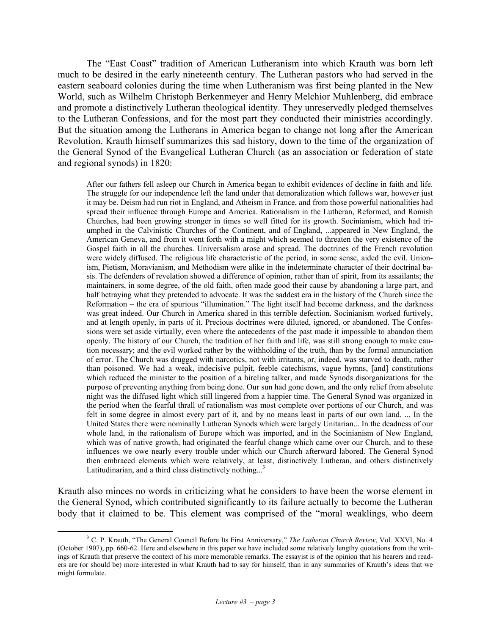The "East Coast" tradition of American Lutheranism into which Krauth was born left much to be desired in the early nineteenth century. The Lutheran pastors who had served in the eastern seaboard colonies during the time when Lutheranism was first being planted in the New World, such as Wilhelm Christoph Berkenmeyer and Henry Melchior Muhlenberg, did embrace and promote a distinctively Lutheran theological identity. They unreservedly pledged themselves to the Lutheran Confessions, and for the most part they conducted their ministries accordingly. But the situation among the Lutherans in America began to change not long after the American Revolution. Krauth himself summarizes this sad history, down to the time of the organization of the General Synod of the Evangelical Lutheran Church (as an association or federation of state and regional synods) in 1820:

After our fathers fell asleep our Church in America began to exhibit evidences of decline in faith and life. The struggle for our independence left the land under that demoralization which follows war, however just it may be. Deism had run riot in England, and Atheism in France, and from those powerful nationalities had spread their influence through Europe and America. Rationalism in the Lutheran, Reformed, and Romish Churches, had been growing stronger in times so well fitted for its growth. Socinianism, which had triumphed in the Calvinistic Churches of the Continent, and of England, ...appeared in New England, the American Geneva, and from it went forth with a might which seemed to threaten the very existence of the Gospel faith in all the churches. Universalism arose and spread. The doctrines of the French revolution were widely diffused. The religious life characteristic of the period, in some sense, aided the evil. Unionism, Pietism, Moravianism, and Methodism were alike in the indeterminate character of their doctrinal basis. The defenders of revelation showed a difference of opinion, rather than of spirit, from its assailants; the maintainers, in some degree, of the old faith, often made good their cause by abandoning a large part, and half betraying what they pretended to advocate. It was the saddest era in the history of the Church since the Reformation – the era of spurious "illumination." The light itself had become darkness, and the darkness was great indeed. Our Church in America shared in this terrible defection. Socinianism worked furtively, and at length openly, in parts of it. Precious doctrines were diluted, ignored, or abandoned. The Confessions were set aside virtually, even where the antecedents of the past made it impossible to abandon them openly. The history of our Church, the tradition of her faith and life, was still strong enough to make caution necessary; and the evil worked rather by the withholding of the truth, than by the formal annunciation of error. The Church was drugged with narcotics, not with irritants, or, indeed, was starved to death, rather than poisoned. We had a weak, indecisive pulpit, feeble catechisms, vague hymns, [and] constitutions which reduced the minister to the position of a hireling talker, and made Synods disorganizations for the purpose of preventing anything from being done. Our sun had gone down, and the only relief from absolute night was the diffused light which still lingered from a happier time. The General Synod was organized in the period when the fearful thrall of rationalism was most complete over portions of our Church, and was felt in some degree in almost every part of it, and by no means least in parts of our own land. ... In the United States there were nominally Lutheran Synods which were largely Unitarian... In the deadness of our whole land, in the rationalism of Europe which was imported, and in the Socinianism of New England, which was of native growth, had originated the fearful change which came over our Church, and to these influences we owe nearly every trouble under which our Church afterward labored. The General Synod then embraced elements which were relatively, at least, distinctively Lutheran, and others distinctively Latitudinarian, and a third class distinctively nothing... $3$ 

Krauth also minces no words in criticizing what he considers to have been the worse element in the General Synod, which contributed significantly to its failure actually to become the Lutheran body that it claimed to be. This element was comprised of the "moral weaklings, who deem

<span id="page-2-0"></span> <sup>3</sup> C. P. Krauth, "The General Council Before Its First Anniversary," *The Lutheran Church Review*, Vol. XXVI, No. 4 (October 1907), pp. 660-62. Here and elsewhere in this paper we have included some relatively lengthy quotations from the writings of Krauth that preserve the context of his more memorable remarks. The essayist is of the opinion that his hearers and readers are (or should be) more interested in what Krauth had to say for himself, than in any summaries of Krauth's ideas that we might formulate.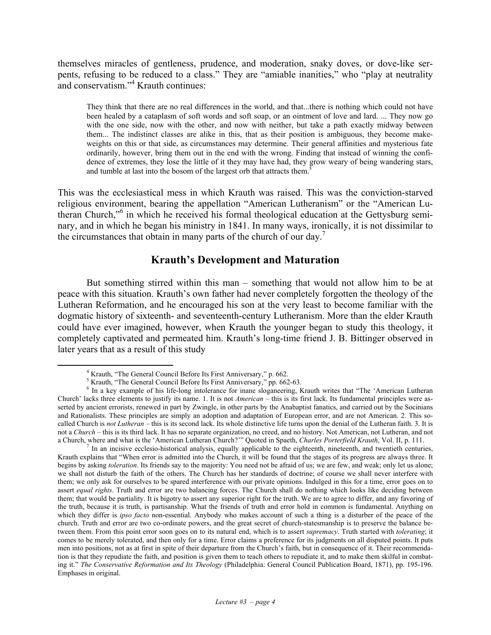themselves miracles of gentleness, prudence, and moderation, snaky doves, or dove-like serpents, refusing to be reduced to a class." They are "amiable inanities," who "play at neutrality and conservatism."<sup>[4](#page-3-0)</sup> Krauth continues:

They think that there are no real differences in the world, and that...there is nothing which could not have been healed by a cataplasm of soft words and soft soap, or an ointment of love and lard. ... They now go with the one side, now with the other, and now with neither, but take a path exactly midway between them... The indistinct classes are alike in this, that as their position is ambiguous, they become makeweights on this or that side, as circumstances may determine. Their general affinities and mysterious fate ordinarily, however, bring them out in the end with the wrong. Finding that instead of winning the confidence of extremes, they lose the little of it they may have had, they grow weary of being wandering stars, and tumble at last into the bosom of the largest orb that attracts them.<sup>[5](#page-3-1)</sup>

This was the ecclesiastical mess in which Krauth was raised. This was the conviction-starved religious environment, bearing the appellation "American Lutheranism" or the "American Lutheran Church,"[6](#page-3-2) in which he received his formal theological education at the Gettysburg seminary, and in which he began his ministry in 1841. In many ways, ironically, it is not dissimilar to the circumstances that obtain in many parts of the church of our day.<sup>[7](#page-3-3)</sup>

### **Krauth's Development and Maturation**

But something stirred within this man – something that would not allow him to be at peace with this situation. Krauth's own father had never completely forgotten the theology of the Lutheran Reformation, and he encouraged his son at the very least to become familiar with the dogmatic history of sixteenth- and seventeenth-century Lutheranism. More than the elder Krauth could have ever imagined, however, when Krauth the younger began to study this theology, it completely captivated and permeated him. Krauth's long-time friend J. B. Bittinger observed in later years that as a result of this study

 $\overline{4}$ <sup>4</sup> Krauth, "The General Council Before Its First Anniversary," p. 662.

<span id="page-3-2"></span><span id="page-3-1"></span><span id="page-3-0"></span><sup>&</sup>lt;sup>5</sup> Krauth, "The General Council Before Its First Anniversary," pp. 662-63.

 $6$  In a key example of his life-long intolerance for inane sloganeering, Krauth writes that "The 'American Lutheran Church' lacks three elements to justify its name. 1. It is not *American* – this is its first lack. Its fundamental principles were asserted by ancient errorists, renewed in part by Zwingle, in other parts by the Anabaptist fanatics, and carried out by the Socinians and Rationalists. These principles are simply an adoption and adaptation of European error, and are not American. 2. This socalled Church is *not Lutheran* – this is its second lack. Its whole distinctive life turns upon the denial of the Lutheran faith. 3. It is not a *Church* – this is its third lack. It has no separate organization, no creed, and no history. Not American, not Lutheran, and not a Church, where and what is the 'American Lutheran Church?'" Quoted in Spaeth, Charles Porterfield Krauth, Vol. II, p. 111.<br><sup>7</sup> In an incisive ecclesio-historical analysis, equally applicable to the eighteenth, nineteenth,

<span id="page-3-3"></span>Krauth explains that "When error is admitted into the Church, it will be found that the stages of its progress are always three. It begins by asking *toleration*. Its friends say to the majority: You need not be afraid of us; we are few, and weak; only let us alone; we shall not disturb the faith of the others. The Church has her standards of doctrine; of course we shall never interfere with them; we only ask for ourselves to be spared interference with our private opinions. Indulged in this for a time, error goes on to assert *equal rights*. Truth and error are two balancing forces. The Church shall do nothing which looks like deciding between them; that would be partiality. It is bigotry to assert any superior right for the truth. We are to agree to differ, and any favoring of the truth, because it is truth, is partisanship. What the friends of truth and error hold in common is fundamental. Anything on which they differ is *ipso facto* non-essential. Anybody who makes account of such a thing is a disturber of the peace of the church. Truth and error are two co-ordinate powers, and the great secret of church-statesmanship is to preserve the balance between them. From this point error soon goes on to its natural end, which is to assert *supremacy*. Truth started with *tolerating*; it comes to be merely tolerated, and then only for a time. Error claims a preference for its judgments on all disputed points. It puts men into positions, not as at first in spite of their departure from the Church's faith, but in consequence of it. Their recommendation is that they repudiate the faith, and position is given them to teach others to repudiate it, and to make them skilful in combating it." *The Conservative Reformation and Its Theology* (Philadelphia: General Council Publication Board, 1871), pp. 195-196. Emphases in original.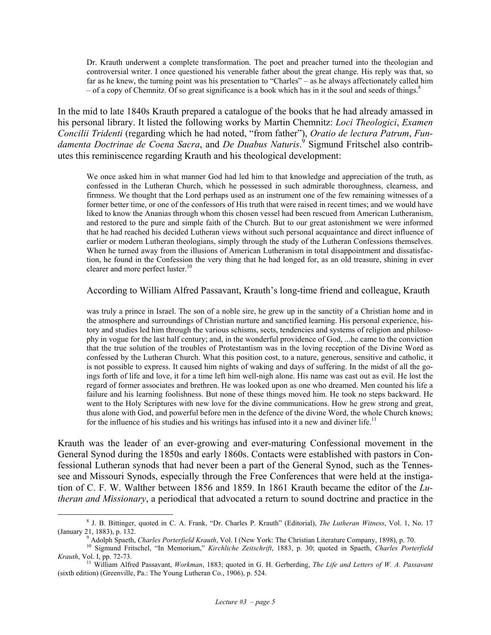Dr. Krauth underwent a complete transformation. The poet and preacher turned into the theologian and controversial writer. I once questioned his venerable father about the great change. His reply was that, so far as he knew, the turning point was his presentation to "Charles" – as he always affectionately called him – of a copy of Chemnitz. Of so great significance is a book which has in it the soul and seeds of things. $8$ 

In the mid to late 1840s Krauth prepared a catalogue of the books that he had already amassed in his personal library. It listed the following works by Martin Chemnitz: *Loci Theologici*, *Examen Concilii Tridenti* (regarding which he had noted, "from father"), *Oratio de lectura Patrum*, *Fundamenta Doctrinae de Coena Sacra*, and *De Duabus Naturis*. [9](#page-4-1) Sigmund Fritschel also contributes this reminiscence regarding Krauth and his theological development:

We once asked him in what manner God had led him to that knowledge and appreciation of the truth, as confessed in the Lutheran Church, which he possessed in such admirable thoroughness, clearness, and firmness. We thought that the Lord perhaps used as an instrument one of the few remaining witnesses of a former better time, or one of the confessors of His truth that were raised in recent times; and we would have liked to know the Ananias through whom this chosen vessel had been rescued from American Lutheranism, and restored to the pure and simple faith of the Church. But to our great astonishment we were informed that he had reached his decided Lutheran views without such personal acquaintance and direct influence of earlier or modern Lutheran theologians, simply through the study of the Lutheran Confessions themselves. When he turned away from the illusions of American Lutheranism in total disappointment and dissatisfaction, he found in the Confession the very thing that he had longed for, as an old treasure, shining in ever clearer and more perfect luster.<sup>10</sup>

According to William Alfred Passavant, Krauth's long-time friend and colleague, Krauth

was truly a prince in Israel. The son of a noble sire, he grew up in the sanctity of a Christian home and in the atmosphere and surroundings of Christian nurture and sanctified learning. His personal experience, history and studies led him through the various schisms, sects, tendencies and systems of religion and philosophy in vogue for the last half century; and, in the wonderful providence of God, ...he came to the conviction that the true solution of the troubles of Protestantism was in the loving reception of the Divine Word as confessed by the Lutheran Church. What this position cost, to a nature, generous, sensitive and catholic, it is not possible to express. It caused him nights of waking and days of suffering. In the midst of all the goings forth of life and love, it for a time left him well-nigh alone. His name was cast out as evil. He lost the regard of former associates and brethren. He was looked upon as one who dreamed. Men counted his life a failure and his learning foolishness. But none of these things moved him. He took no steps backward. He went to the Holy Scriptures with new love for the divine communications. How he grew strong and great, thus alone with God, and powerful before men in the defence of the divine Word, the whole Church knows; for the influence of his studies and his writings has infused into it a new and diviner life.<sup>11</sup>

Krauth was the leader of an ever-growing and ever-maturing Confessional movement in the General Synod during the 1850s and early 1860s. Contacts were established with pastors in Confessional Lutheran synods that had never been a part of the General Synod, such as the Tennessee and Missouri Synods, especially through the Free Conferences that were held at the instigation of C. F. W. Walther between 1856 and 1859. In 1861 Krauth became the editor of the *Lutheran and Missionary*, a periodical that advocated a return to sound doctrine and practice in the

 $\begin{array}{c|c}\n\hline\n\text{1} & \text{2} & \text{3} \\
\hline\n\text{2} & \text{3} & \text{4}\n\end{array}$  J. B. Bittinger, quoted in C. A. Frank, "Dr. Charles P. Krauth" (Editorial), *The Lutheran Witness*, Vol. 1, No. 17 (January 21, 1883), p. 132.

<span id="page-4-3"></span><span id="page-4-2"></span><span id="page-4-1"></span><span id="page-4-0"></span><sup>&</sup>lt;sup>9</sup> Adolph Spaeth, Charles Porterfield Krauth, Vol. I (New York: The Christian Literature Company, 1898), p. 70.<br><sup>10</sup> Sigmund Fritschel, "In Memorium," *Kirchliche Zeitschrift*, 1883, p. 30; quoted in Spaeth, *Charles Port* 

*Krauth*, Vol. I, pp. 72-73. 11 William Alfred Passavant, *Workman*, 1883; quoted in G. H. Gerberding, *The Life and Letters of W. A. Passavant* 

<sup>(</sup>sixth edition) (Greenville, Pa.: The Young Lutheran Co., 1906), p. 524.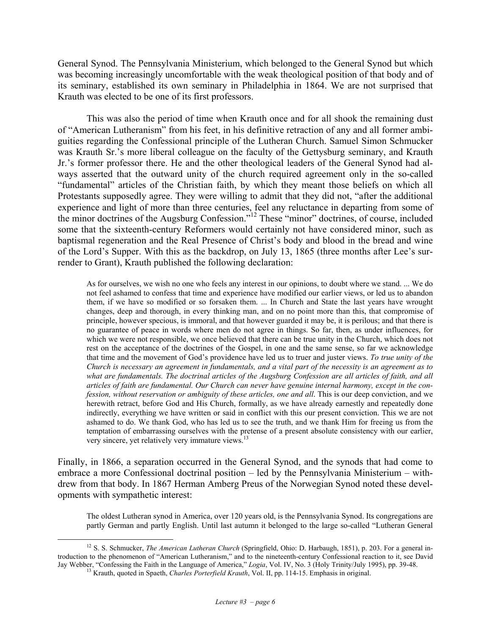General Synod. The Pennsylvania Ministerium, which belonged to the General Synod but which was becoming increasingly uncomfortable with the weak theological position of that body and of its seminary, established its own seminary in Philadelphia in 1864. We are not surprised that Krauth was elected to be one of its first professors.

This was also the period of time when Krauth once and for all shook the remaining dust of "American Lutheranism" from his feet, in his definitive retraction of any and all former ambiguities regarding the Confessional principle of the Lutheran Church. Samuel Simon Schmucker was Krauth Sr.'s more liberal colleague on the faculty of the Gettysburg seminary, and Krauth Jr.'s former professor there. He and the other theological leaders of the General Synod had always asserted that the outward unity of the church required agreement only in the so-called "fundamental" articles of the Christian faith, by which they meant those beliefs on which all Protestants supposedly agree. They were willing to admit that they did not, "after the additional experience and light of more than three centuries, feel any reluctance in departing from some of the minor doctrines of the Augsburg Confession."[12](#page-5-0) These "minor" doctrines, of course, included some that the sixteenth-century Reformers would certainly not have considered minor, such as baptismal regeneration and the Real Presence of Christ's body and blood in the bread and wine of the Lord's Supper. With this as the backdrop, on July 13, 1865 (three months after Lee's surrender to Grant), Krauth published the following declaration:

As for ourselves, we wish no one who feels any interest in our opinions, to doubt where we stand. ... We do not feel ashamed to confess that time and experience have modified our earlier views, or led us to abandon them, if we have so modified or so forsaken them. ... In Church and State the last years have wrought changes, deep and thorough, in every thinking man, and on no point more than this, that compromise of principle, however specious, is immoral, and that however guarded it may be, it is perilous; and that there is no guarantee of peace in words where men do not agree in things. So far, then, as under influences, for which we were not responsible, we once believed that there can be true unity in the Church, which does not rest on the acceptance of the doctrines of the Gospel, in one and the same sense, so far we acknowledge that time and the movement of God's providence have led us to truer and juster views. *To true unity of the Church is necessary an agreement in fundamentals, and a vital part of the necessity is an agreement as to what are fundamentals. The doctrinal articles of the Augsburg Confession are all articles of faith, and all articles of faith are fundamental. Our Church can never have genuine internal harmony, except in the confession, without reservation or ambiguity of these articles, one and all.* This is our deep conviction, and we herewith retract, before God and His Church, formally, as we have already earnestly and repeatedly done indirectly, everything we have written or said in conflict with this our present conviction. This we are not ashamed to do. We thank God, who has led us to see the truth, and we thank Him for freeing us from the temptation of embarrassing ourselves with the pretense of a present absolute consistency with our earlier, very sincere, yet relatively very immature views.<sup>1</sup>

Finally, in 1866, a separation occurred in the General Synod, and the synods that had come to embrace a more Confessional doctrinal position – led by the Pennsylvania Ministerium – withdrew from that body. In 1867 Herman Amberg Preus of the Norwegian Synod noted these developments with sympathetic interest:

The oldest Lutheran synod in America, over 120 years old, is the Pennsylvania Synod. Its congregations are partly German and partly English. Until last autumn it belonged to the large so-called "Lutheran General

<sup>&</sup>lt;sup>12</sup> S. S. Schmucker, *The American Lutheran Church* (Springfield, Ohio: D. Harbaugh, 1851), p. 203. For a general introduction to the phenomenon of "American Lutheranism," and to the nineteenth-century Confessional reaction to it, see David Jay Webber, "Confessing the Faith in the Language of America," Logia, Vol. IV, No. 3 (Holy Trinit

<span id="page-5-1"></span><span id="page-5-0"></span><sup>&</sup>lt;sup>13</sup> Krauth, quoted in Spaeth, Charles Porterfield Krauth, Vol. II, pp. 114-15. Emphasis in original.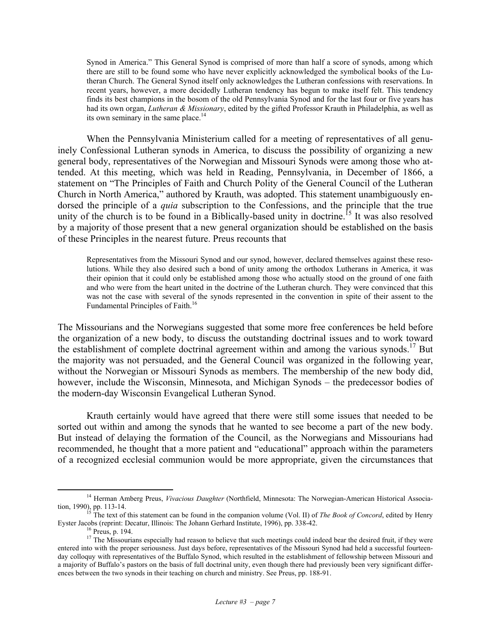Synod in America." This General Synod is comprised of more than half a score of synods, among which there are still to be found some who have never explicitly acknowledged the symbolical books of the Lutheran Church. The General Synod itself only acknowledges the Lutheran confessions with reservations. In recent years, however, a more decidedly Lutheran tendency has begun to make itself felt. This tendency finds its best champions in the bosom of the old Pennsylvania Synod and for the last four or five years has had its own organ, *Lutheran & Missionary*, edited by the gifted Professor Krauth in Philadelphia, as well as its own seminary in the same place. $14$ 

When the Pennsylvania Ministerium called for a meeting of representatives of all genuinely Confessional Lutheran synods in America, to discuss the possibility of organizing a new general body, representatives of the Norwegian and Missouri Synods were among those who attended. At this meeting, which was held in Reading, Pennsylvania, in December of 1866, a statement on "The Principles of Faith and Church Polity of the General Council of the Lutheran Church in North America," authored by Krauth, was adopted. This statement unambiguously endorsed the principle of a *quia* subscription to the Confessions, and the principle that the true unity of the church is to be found in a Biblically-based unity in doctrine.<sup>15</sup> It was also resolved by a majority of those present that a new general organization should be established on the basis of these Principles in the nearest future. Preus recounts that

Representatives from the Missouri Synod and our synod, however, declared themselves against these resolutions. While they also desired such a bond of unity among the orthodox Lutherans in America, it was their opinion that it could only be established among those who actually stood on the ground of one faith and who were from the heart united in the doctrine of the Lutheran church. They were convinced that this was not the case with several of the synods represented in the convention in spite of their assent to the Fundamental Principles of Faith.<sup>[16](#page-6-2)</sup>

The Missourians and the Norwegians suggested that some more free conferences be held before the organization of a new body, to discuss the outstanding doctrinal issues and to work toward the establishment of complete doctrinal agreement within and among the various synods.<sup>17</sup> But the majority was not persuaded, and the General Council was organized in the following year, without the Norwegian or Missouri Synods as members. The membership of the new body did, however, include the Wisconsin, Minnesota, and Michigan Synods – the predecessor bodies of the modern-day Wisconsin Evangelical Lutheran Synod.

Krauth certainly would have agreed that there were still some issues that needed to be sorted out within and among the synods that he wanted to see become a part of the new body. But instead of delaying the formation of the Council, as the Norwegians and Missourians had recommended, he thought that a more patient and "educational" approach within the parameters of a recognized ecclesial communion would be more appropriate, given the circumstances that

1

<sup>&</sup>lt;sup>14</sup> Herman Amberg Preus, *Vivacious Daughter* (Northfield, Minnesota: The Norwegian-American Historical Associa-<br>1990), pp. 113-14.<br><sup>15</sup> The fact of this tetrace teaches for a birth association of me (Mala II) of  $T_0$ ,

The text of this statement can be found in the companion volume (Vol. II) of *The Book of Concord*, edited by Henry Eyster Jacobs (reprint: Decatur, Illinois: The Johann Gerhard Institute, 1996), pp. 338-42.<br><sup>16</sup> Preus, p. 194.

<span id="page-6-3"></span><span id="page-6-2"></span><span id="page-6-1"></span><span id="page-6-0"></span>

<sup>&</sup>lt;sup>17</sup> The Missourians especially had reason to believe that such meetings could indeed bear the desired fruit, if they were entered into with the proper seriousness. Just days before, representatives of the Missouri Synod had held a successful fourteenday colloquy with representatives of the Buffalo Synod, which resulted in the establishment of fellowship between Missouri and a majority of Buffalo's pastors on the basis of full doctrinal unity, even though there had previously been very significant differences between the two synods in their teaching on church and ministry. See Preus, pp. 188-91.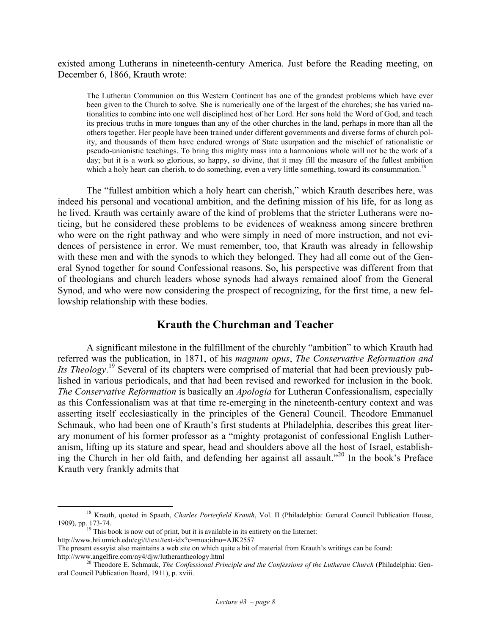existed among Lutherans in nineteenth-century America. Just before the Reading meeting, on December 6, 1866, Krauth wrote:

The Lutheran Communion on this Western Continent has one of the grandest problems which have ever been given to the Church to solve. She is numerically one of the largest of the churches; she has varied nationalities to combine into one well disciplined host of her Lord. Her sons hold the Word of God, and teach its precious truths in more tongues than any of the other churches in the land, perhaps in more than all the others together. Her people have been trained under different governments and diverse forms of church polity, and thousands of them have endured wrongs of State usurpation and the mischief of rationalistic or pseudo-unionistic teachings. To bring this mighty mass into a harmonious whole will not be the work of a day; but it is a work so glorious, so happy, so divine, that it may fill the measure of the fullest ambition which a holy heart can cherish, to do something, even a very little something, toward its consummation.<sup>[18](#page-7-0)</sup>

The "fullest ambition which a holy heart can cherish," which Krauth describes here, was indeed his personal and vocational ambition, and the defining mission of his life, for as long as he lived. Krauth was certainly aware of the kind of problems that the stricter Lutherans were noticing, but he considered these problems to be evidences of weakness among sincere brethren who were on the right pathway and who were simply in need of more instruction, and not evidences of persistence in error. We must remember, too, that Krauth was already in fellowship with these men and with the synods to which they belonged. They had all come out of the General Synod together for sound Confessional reasons. So, his perspective was different from that of theologians and church leaders whose synods had always remained aloof from the General Synod, and who were now considering the prospect of recognizing, for the first time, a new fellowship relationship with these bodies.

#### **Krauth the Churchman and Teacher**

A significant milestone in the fulfillment of the churchly "ambition" to which Krauth had referred was the publication, in 1871, of his *magnum opus*, *The Conservative Reformation and Its Theology*. [19](#page-7-1) Several of its chapters were comprised of material that had been previously published in various periodicals, and that had been revised and reworked for inclusion in the book. *The Conservative Reformation* is basically an *Apologia* for Lutheran Confessionalism, especially as this Confessionalism was at that time re-emerging in the nineteenth-century context and was asserting itself ecclesiastically in the principles of the General Council. Theodore Emmanuel Schmauk, who had been one of Krauth's first students at Philadelphia, describes this great literary monument of his former professor as a "mighty protagonist of confessional English Lutheranism, lifting up its stature and spear, head and shoulders above all the host of Israel, establishing the Church in her old faith, and defending her against all assault."<sup>20</sup> In the book's Preface Krauth very frankly admits that

http://www.hti.umich.edu/cgi/t/text/text-idx?c=moa;idno=AJK2557

 <sup>18</sup> Krauth, quoted in Spaeth, *Charles Porterfield Krauth*, Vol. II (Philadelphia: General Council Publication House, 1909), pp. 173-74. <sup>19</sup> This book is now out of print, but it is available in its entirety on the Internet:

<span id="page-7-1"></span><span id="page-7-0"></span>

The present essayist also maintains a web site on which quite a bit of material from Krauth's writings can be found:<br>http://www.angelfire.com/ny4/djw/lutherantheology.html

<span id="page-7-2"></span><sup>&</sup>lt;sup>20</sup> Theodore E. Schmauk, *The Confessional Principle and the Confessions of the Lutheran Church* (Philadelphia: General Council Publication Board, 1911), p. xviii.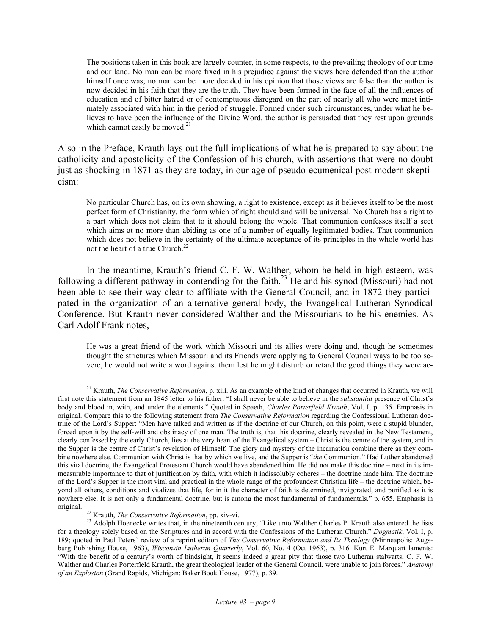The positions taken in this book are largely counter, in some respects, to the prevailing theology of our time and our land. No man can be more fixed in his prejudice against the views here defended than the author himself once was; no man can be more decided in his opinion that those views are false than the author is now decided in his faith that they are the truth. They have been formed in the face of all the influences of education and of bitter hatred or of contemptuous disregard on the part of nearly all who were most intimately associated with him in the period of struggle. Formed under such circumstances, under what he believes to have been the influence of the Divine Word, the author is persuaded that they rest upon grounds which cannot easily be moved. $2<sup>1</sup>$ 

Also in the Preface, Krauth lays out the full implications of what he is prepared to say about the catholicity and apostolicity of the Confession of his church, with assertions that were no doubt just as shocking in 1871 as they are today, in our age of pseudo-ecumenical post-modern skepticism:

No particular Church has, on its own showing, a right to existence, except as it believes itself to be the most perfect form of Christianity, the form which of right should and will be universal. No Church has a right to a part which does not claim that to it should belong the whole. That communion confesses itself a sect which aims at no more than abiding as one of a number of equally legitimated bodies. That communion which does not believe in the certainty of the ultimate acceptance of its principles in the whole world has not the heart of a true Church.<sup>[22](#page-8-1)</sup>

In the meantime, Krauth's friend C. F. W. Walther, whom he held in high esteem, was following a different pathway in contending for the faith.<sup>23</sup> He and his synod (Missouri) had not been able to see their way clear to affiliate with the General Council, and in 1872 they participated in the organization of an alternative general body, the Evangelical Lutheran Synodical Conference. But Krauth never considered Walther and the Missourians to be his enemies. As Carl Adolf Frank notes,

He was a great friend of the work which Missouri and its allies were doing and, though he sometimes thought the strictures which Missouri and its Friends were applying to General Council ways to be too severe, he would not write a word against them lest he might disturb or retard the good things they were ac-

<span id="page-8-0"></span> <sup>21</sup> Krauth, *The Conservative Reformation*, p. xiii. As an example of the kind of changes that occurred in Krauth, we will first note this statement from an 1845 letter to his father: "I shall never be able to believe in the *substantial* presence of Christ's body and blood in, with, and under the elements." Quoted in Spaeth, *Charles Porterfield Krauth*, Vol. I, p. 135. Emphasis in original. Compare this to the following statement from *The Conservative Reformation* regarding the Confessional Lutheran doctrine of the Lord's Supper: "Men have talked and written as if the doctrine of our Church, on this point, were a stupid blunder, forced upon it by the self-will and obstinacy of one man. The truth is, that this doctrine, clearly revealed in the New Testament, clearly confessed by the early Church, lies at the very heart of the Evangelical system – Christ is the centre of the system, and in the Supper is the centre of Christ's revelation of Himself. The glory and mystery of the incarnation combine there as they combine nowhere else. Communion with Christ is that by which we live, and the Supper is "*the* Communion." Had Luther abandoned this vital doctrine, the Evangelical Protestant Church would have abandoned him. He did not make this doctrine – next in its immeasurable importance to that of justification by faith, with which it indissolubly coheres – the doctrine made him. The doctrine of the Lord's Supper is the most vital and practical in the whole range of the profoundest Christian life – the doctrine which, beyond all others, conditions and vitalizes that life, for in it the character of faith is determined, invigorated, and purified as it is nowhere else. It is not only a fundamental doctrine, but is among the most fundamental of fundamentals." p. 655. Emphasis in

<span id="page-8-2"></span><span id="page-8-1"></span>

original. <sup>22</sup> Krauth, *The Conservative Reformation*, pp. xiv-vi. <sup>23</sup> Adolph Hoenecke writes that, in the nineteenth century, "Like unto Walther Charles P. Krauth also entered the lists for a theology solely based on the Scriptures and in accord with the Confessions of the Lutheran Church." *Dogmatik*, Vol. I, p. 189; quoted in Paul Peters' review of a reprint edition of *The Conservative Reformation and Its Theology* (Minneapolis: Augsburg Publishing House, 1963), *Wisconsin Lutheran Quarterly*, Vol. 60, No. 4 (Oct 1963), p. 316. Kurt E. Marquart laments: "With the benefit of a century's worth of hindsight, it seems indeed a great pity that those two Lutheran stalwarts, C. F. W. Walther and Charles Porterfield Krauth, the great theological leader of the General Council, were unable to join forces." *Anatomy of an Explosion* (Grand Rapids, Michigan: Baker Book House, 1977), p. 39.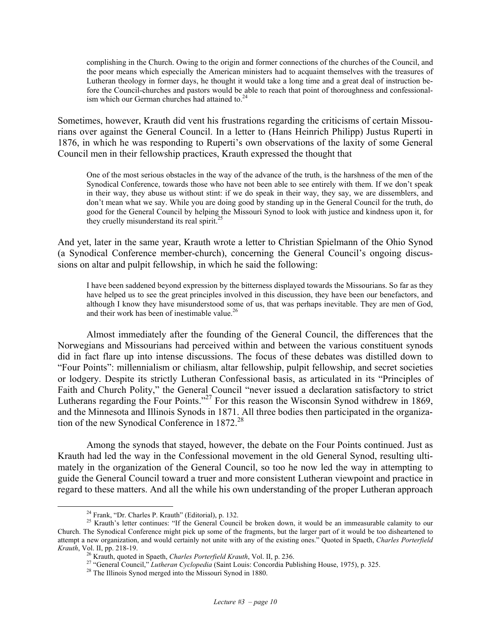complishing in the Church. Owing to the origin and former connections of the churches of the Council, and the poor means which especially the American ministers had to acquaint themselves with the treasures of Lutheran theology in former days, he thought it would take a long time and a great deal of instruction before the Council-churches and pastors would be able to reach that point of thoroughness and confessional-ism which our German churches had attained to.<sup>[24](#page-9-0)</sup>

Sometimes, however, Krauth did vent his frustrations regarding the criticisms of certain Missourians over against the General Council. In a letter to (Hans Heinrich Philipp) Justus Ruperti in 1876, in which he was responding to Ruperti's own observations of the laxity of some General Council men in their fellowship practices, Krauth expressed the thought that

One of the most serious obstacles in the way of the advance of the truth, is the harshness of the men of the Synodical Conference, towards those who have not been able to see entirely with them. If we don't speak in their way, they abuse us without stint: if we do speak in their way, they say, we are dissemblers, and don't mean what we say. While you are doing good by standing up in the General Council for the truth, do good for the General Council by helping the Missouri Synod to look with justice and kindness upon it, for they cruelly misunderstand its real spirit.<sup>[25](#page-9-1)</sup>

And yet, later in the same year, Krauth wrote a letter to Christian Spielmann of the Ohio Synod (a Synodical Conference member-church), concerning the General Council's ongoing discussions on altar and pulpit fellowship, in which he said the following:

I have been saddened beyond expression by the bitterness displayed towards the Missourians. So far as they have helped us to see the great principles involved in this discussion, they have been our benefactors, and although I know they have misunderstood some of us, that was perhaps inevitable. They are men of God, and their work has been of inestimable value.<sup>26</sup>

Almost immediately after the founding of the General Council, the differences that the Norwegians and Missourians had perceived within and between the various constituent synods did in fact flare up into intense discussions. The focus of these debates was distilled down to "Four Points": millennialism or chiliasm, altar fellowship, pulpit fellowship, and secret societies or lodgery. Despite its strictly Lutheran Confessional basis, as articulated in its "Principles of Faith and Church Polity," the General Council "never issued a declaration satisfactory to strict Lutherans regarding the Four Points."<sup>27</sup> For this reason the Wisconsin Synod withdrew in 1869, and the Minnesota and Illinois Synods in 1871. All three bodies then participated in the organization of the new Synodical Conference in 1872.<sup>28</sup>

Among the synods that stayed, however, the debate on the Four Points continued. Just as Krauth had led the way in the Confessional movement in the old General Synod, resulting ultimately in the organization of the General Council, so too he now led the way in attempting to guide the General Council toward a truer and more consistent Lutheran viewpoint and practice in regard to these matters. And all the while his own understanding of the proper Lutheran approach

<span id="page-9-1"></span><span id="page-9-0"></span>

<sup>&</sup>lt;sup>24</sup> Frank, "Dr. Charles P. Krauth" (Editorial), p. 132.<br><sup>25</sup> Krauth's letter continues: "If the General Council be broken down, it would be an immeasurable calamity to our Church. The Synodical Conference might pick up some of the fragments, but the larger part of it would be too disheartened to attempt a new organization, and would certainly not unite with any of the existing ones." Quoted in Spaeth, *Charles Porterfield Krauth*, Vol. II, pp. 218-19.<br><sup>26</sup> Krauth, quoted in Spaeth, *Charles Porterfield Krauth*, Vol. II, p. 236.<br><sup>27</sup> "General Council," *Lutheran Cyclopedia* (Saint Louis: Concordia Publishing House, 1975), p. 325.<br><sup>28</sup> The

<span id="page-9-2"></span>

<span id="page-9-3"></span>

<span id="page-9-4"></span>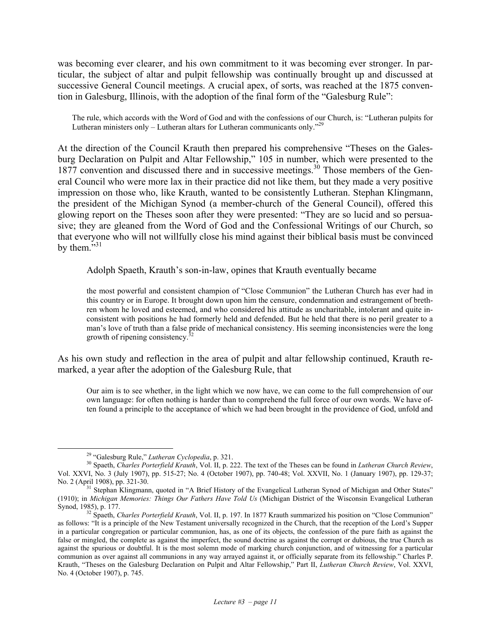was becoming ever clearer, and his own commitment to it was becoming ever stronger. In particular, the subject of altar and pulpit fellowship was continually brought up and discussed at successive General Council meetings. A crucial apex, of sorts, was reached at the 1875 convention in Galesburg, Illinois, with the adoption of the final form of the "Galesburg Rule":

The rule, which accords with the Word of God and with the confessions of our Church, is: "Lutheran pulpits for Lutheran ministers only – Lutheran altars for Lutheran communicants only.<sup>229</sup>

At the direction of the Council Krauth then prepared his comprehensive "Theses on the Galesburg Declaration on Pulpit and Altar Fellowship," 105 in number, which were presented to the 1877 convention and discussed there and in successive meetings.<sup>30</sup> Those members of the General Council who were more lax in their practice did not like them, but they made a very positive impression on those who, like Krauth, wanted to be consistently Lutheran. Stephan Klingmann, the president of the Michigan Synod (a member-church of the General Council), offered this glowing report on the Theses soon after they were presented: "They are so lucid and so persuasive; they are gleaned from the Word of God and the Confessional Writings of our Church, so that everyone who will not willfully close his mind against their biblical basis must be convinced by them. $^{531}$  $^{531}$  $^{531}$ 

Adolph Spaeth, Krauth's son-in-law, opines that Krauth eventually became

the most powerful and consistent champion of "Close Communion" the Lutheran Church has ever had in this country or in Europe. It brought down upon him the censure, condemnation and estrangement of brethren whom he loved and esteemed, and who considered his attitude as uncharitable, intolerant and quite inconsistent with positions he had formerly held and defended. But he held that there is no peril greater to a man's love of truth than a false pride of mechanical consistency. His seeming inconsistencies were the long growth of ripening consistency.<sup>[32](#page-10-3)</sup>

As his own study and reflection in the area of pulpit and altar fellowship continued, Krauth remarked, a year after the adoption of the Galesburg Rule, that

Our aim is to see whether, in the light which we now have, we can come to the full comprehension of our own language: for often nothing is harder than to comprehend the full force of our own words. We have often found a principle to the acceptance of which we had been brought in the providence of God, unfold and

<span id="page-10-2"></span><span id="page-10-1"></span><span id="page-10-0"></span>

<sup>&</sup>lt;sup>29</sup> "Galesburg Rule," *Lutheran Cyclopedia*, p. 321.<br><sup>30</sup> Spaeth, *Charles Porterfield Krauth*, Vol. II, p. 222. The text of the Theses can be found in *Lutheran Church Review*, Vol. XXVI, No. 3 (July 1907), pp. 515-27; No. 4 (October 1907), pp. 740-48; Vol. XXVII, No. 1 (January 1907), pp. 129-37;

<sup>&</sup>lt;sup>31</sup> Stephan Klingmann, quoted in "A Brief History of the Evangelical Lutheran Synod of Michigan and Other States" (1910); in *Michigan Memories: Things Our Fathers Have Told Us* (Michigan District of the Wisconsin Evangelical Lutheran Synod, 1985), p. 177. 32 Spaeth, *Charles Porterfield Krauth*, Vol. II, p. 197. In 1877 Krauth summarized his position on "Close Communion"

<span id="page-10-3"></span>as follows: "It is a principle of the New Testament universally recognized in the Church, that the reception of the Lord's Supper in a particular congregation or particular communion, has, as one of its objects, the confession of the pure faith as against the false or mingled, the complete as against the imperfect, the sound doctrine as against the corrupt or dubious, the true Church as against the spurious or doubtful. It is the most solemn mode of marking church conjunction, and of witnessing for a particular communion as over against all communions in any way arrayed against it, or officially separate from its fellowship." Charles P. Krauth, "Theses on the Galesburg Declaration on Pulpit and Altar Fellowship," Part II, *Lutheran Church Review*, Vol. XXVI, No. 4 (October 1907), p. 745.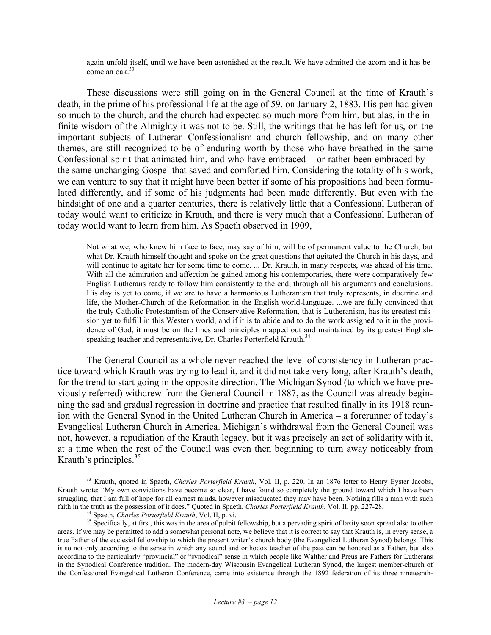<span id="page-11-2"></span>again unfold itself, until we have been astonished at the result. We have admitted the acorn and it has become an oak.<sup>33</sup>

These discussions were still going on in the General Council at the time of Krauth's death, in the prime of his professional life at the age of 59, on January 2, 1883. His pen had given so much to the church, and the church had expected so much more from him, but alas, in the infinite wisdom of the Almighty it was not to be. Still, the writings that he has left for us, on the important subjects of Lutheran Confessionalism and church fellowship, and on many other themes, are still recognized to be of enduring worth by those who have breathed in the same Confessional spirit that animated him, and who have embraced – or rather been embraced by – the same unchanging Gospel that saved and comforted him. Considering the totality of his work, we can venture to say that it might have been better if some of his propositions had been formulated differently, and if some of his judgments had been made differently. But even with the hindsight of one and a quarter centuries, there is relatively little that a Confessional Lutheran of today would want to criticize in Krauth, and there is very much that a Confessional Lutheran of today would want to learn from him. As Spaeth observed in 1909,

Not what we, who knew him face to face, may say of him, will be of permanent value to the Church, but what Dr. Krauth himself thought and spoke on the great questions that agitated the Church in his days, and will continue to agitate her for some time to come. ... Dr. Krauth, in many respects, was ahead of his time. With all the admiration and affection he gained among his contemporaries, there were comparatively few English Lutherans ready to follow him consistently to the end, through all his arguments and conclusions. His day is yet to come, if we are to have a harmonious Lutheranism that truly represents, in doctrine and life, the Mother-Church of the Reformation in the English world-language. ...we are fully convinced that the truly Catholic Protestantism of the Conservative Reformation, that is Lutheranism, has its greatest mission yet to fulfill in this Western world, and if it is to abide and to do the work assigned to it in the providence of God, it must be on the lines and principles mapped out and maintained by its greatest Englishspeaking teacher and representative, Dr. Charles Porterfield Krauth.<sup>34</sup>

The General Council as a whole never reached the level of consistency in Lutheran practice toward which Krauth was trying to lead it, and it did not take very long, after Krauth's death, for the trend to start going in the opposite direction. The Michigan Synod (to which we have previously referred) withdrew from the General Council in 1887, as the Council was already beginning the sad and gradual regression in doctrine and practice that resulted finally in its 1918 reunion with the General Synod in the United Lutheran Church in America – a forerunner of today's Evangelical Lutheran Church in America. Michigan's withdrawal from the General Council was not, however, a repudiation of the Krauth legacy, but it was precisely an act of solidarity with it, at a time when the rest of the Council was even then beginning to turn away noticeably from Krauth's principles. $35$ 

 <sup>33</sup> Krauth, quoted in Spaeth, *Charles Porterfield Krauth*, Vol. II, p. 220. In an 1876 letter to Henry Eyster Jacobs, Krauth wrote: "My own convictions have become so clear, I have found so completely the ground toward which I have been struggling, that I am full of hope for all earnest minds, however miseducated they may have been. Nothing fills a man with such faith in the truth as the possession of it does." Quoted in Spaeth, Charles Porterfield Krauth

<span id="page-11-1"></span><span id="page-11-0"></span>

<sup>&</sup>lt;sup>34</sup> Spaeth, *Charles Porterfield Krauth*, Vol. II, p. vi.<br><sup>35</sup> Specifically, at first, this was in the area of pulpit fellowship, but a pervading spirit of laxity soon spread also to other areas. If we may be permitted to add a somewhat personal note, we believe that it is correct to say that Krauth is, in every sense, a true Father of the ecclesial fellowship to which the present writer's church body (the Evangelical Lutheran Synod) belongs. This is so not only according to the sense in which any sound and orthodox teacher of the past can be honored as a Father, but also according to the particularly "provincial" or "synodical" sense in which people like Walther and Preus are Fathers for Lutherans in the Synodical Conference tradition. The modern-day Wisconsin Evangelical Lutheran Synod, the largest member-church of the Confessional Evangelical Lutheran Conference, came into existence through the 1892 federation of its three nineteenth-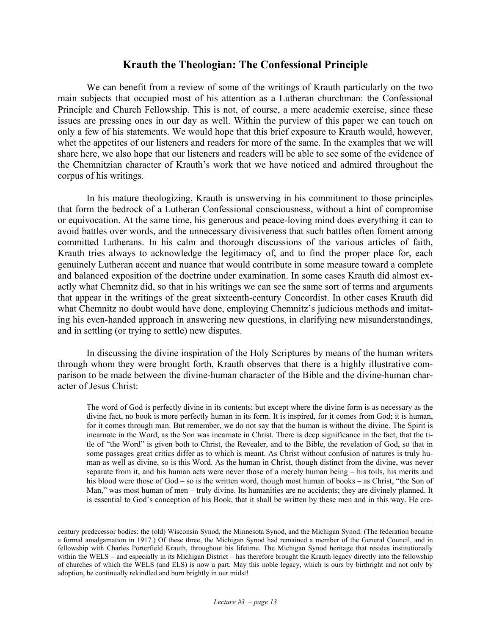#### **Krauth the Theologian: The Confessional Principle**

We can benefit from a review of some of the writings of Krauth particularly on the two main subjects that occupied most of his attention as a Lutheran churchman: the Confessional Principle and Church Fellowship. This is not, of course, a mere academic exercise, since these issues are pressing ones in our day as well. Within the purview of this paper we can touch on only a few of his statements. We would hope that this brief exposure to Krauth would, however, whet the appetites of our listeners and readers for more of the same. In the examples that we will share here, we also hope that our listeners and readers will be able to see some of the evidence of the Chemnitzian character of Krauth's work that we have noticed and admired throughout the corpus of his writings.

In his mature theologizing, Krauth is unswerving in his commitment to those principles that form the bedrock of a Lutheran Confessional consciousness, without a hint of compromise or equivocation. At the same time, his generous and peace-loving mind does everything it can to avoid battles over words, and the unnecessary divisiveness that such battles often foment among committed Lutherans. In his calm and thorough discussions of the various articles of faith, Krauth tries always to acknowledge the legitimacy of, and to find the proper place for, each genuinely Lutheran accent and nuance that would contribute in some measure toward a complete and balanced exposition of the doctrine under examination. In some cases Krauth did almost exactly what Chemnitz did, so that in his writings we can see the same sort of terms and arguments that appear in the writings of the great sixteenth-century Concordist. In other cases Krauth did what Chemnitz no doubt would have done, employing Chemnitz's judicious methods and imitating his even-handed approach in answering new questions, in clarifying new misunderstandings, and in settling (or trying to settle) new disputes.

In discussing the divine inspiration of the Holy Scriptures by means of the human writers through whom they were brought forth, Krauth observes that there is a highly illustrative comparison to be made between the divine-human character of the Bible and the divine-human character of Jesus Christ:

The word of God is perfectly divine in its contents; but except where the divine form is as necessary as the divine fact, no book is more perfectly human in its form. It is inspired, for it comes from God; it is human, for it comes through man. But remember, we do not say that the human is without the divine. The Spirit is incarnate in the Word, as the Son was incarnate in Christ. There is deep significance in the fact, that the title of "the Word" is given both to Christ, the Revealer, and to the Bible, the revelation of God, so that in some passages great critics differ as to which is meant. As Christ without confusion of natures is truly human as well as divine, so is this Word. As the human in Christ, though distinct from the divine, was never separate from it, and his human acts were never those of a merely human being – his toils, his merits and his blood were those of God – so is the written word, though most human of books – as Christ, "the Son of Man," was most human of men – truly divine. Its humanities are no accidents; they are divinely planned. It is essential to God's conception of his Book, that it shall be written by these men and in this way. He cre-

century predecessor bodies: the (old) Wisconsin Synod, the Minnesota Synod, and the Michigan Synod. (The federation became a formal amalgamation in 1917.) Of these three, the Michigan Synod had remained a member of the General Council, and in fellowship with Charles Porterfield Krauth, throughout his lifetime. The Michigan Synod heritage that resides institutionally within the WELS – and especially in its Michigan District – has therefore brought the Krauth legacy directly into the fellowship of churches of which the WELS (and ELS) is now a part. May this noble legacy, which is ours by birthright and not only by adoption, be continually rekindled and burn brightly in our midst!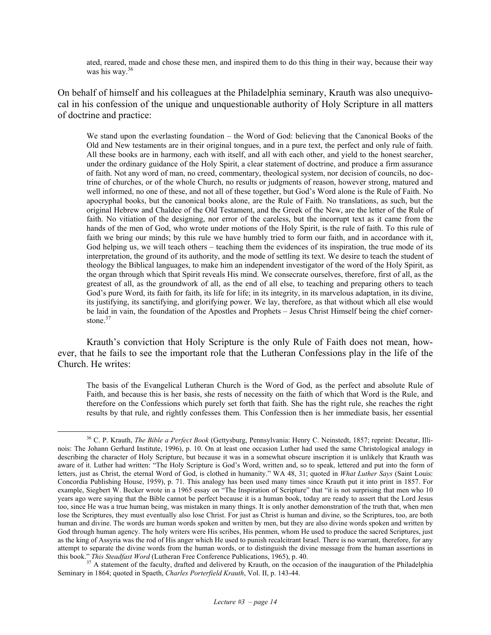ated, reared, made and chose these men, and inspired them to do this thing in their way, because their way was his way.<sup>[36](#page-13-0)</sup>

On behalf of himself and his colleagues at the Philadelphia seminary, Krauth was also unequivocal in his confession of the unique and unquestionable authority of Holy Scripture in all matters of doctrine and practice:

We stand upon the everlasting foundation – the Word of God: believing that the Canonical Books of the Old and New testaments are in their original tongues, and in a pure text, the perfect and only rule of faith. All these books are in harmony, each with itself, and all with each other, and yield to the honest searcher, under the ordinary guidance of the Holy Spirit, a clear statement of doctrine, and produce a firm assurance of faith. Not any word of man, no creed, commentary, theological system, nor decision of councils, no doctrine of churches, or of the whole Church, no results or judgments of reason, however strong, matured and well informed, no one of these, and not all of these together, but God's Word alone is the Rule of Faith. No apocryphal books, but the canonical books alone, are the Rule of Faith. No translations, as such, but the original Hebrew and Chaldee of the Old Testament, and the Greek of the New, are the letter of the Rule of faith. No vitiation of the designing, nor error of the careless, but the incorrupt text as it came from the hands of the men of God, who wrote under motions of the Holy Spirit, is the rule of faith. To this rule of faith we bring our minds; by this rule we have humbly tried to form our faith, and in accordance with it, God helping us, we will teach others – teaching them the evidences of its inspiration, the true mode of its interpretation, the ground of its authority, and the mode of settling its text. We desire to teach the student of theology the Biblical languages, to make him an independent investigator of the word of the Holy Spirit, as the organ through which that Spirit reveals His mind. We consecrate ourselves, therefore, first of all, as the greatest of all, as the groundwork of all, as the end of all else, to teaching and preparing others to teach God's pure Word, its faith for faith, its life for life; in its integrity, in its marvelous adaptation, in its divine, its justifying, its sanctifying, and glorifying power. We lay, therefore, as that without which all else would be laid in vain, the foundation of the Apostles and Prophets – Jesus Christ Himself being the chief corner-stone.<sup>[37](#page-13-1)</sup>

Krauth's conviction that Holy Scripture is the only Rule of Faith does not mean, however, that he fails to see the important role that the Lutheran Confessions play in the life of the Church. He writes:

The basis of the Evangelical Lutheran Church is the Word of God, as the perfect and absolute Rule of Faith, and because this is her basis, she rests of necessity on the faith of which that Word is the Rule, and therefore on the Confessions which purely set forth that faith. She has the right rule, she reaches the right results by that rule, and rightly confesses them. This Confession then is her immediate basis, her essential

<span id="page-13-0"></span> <sup>36</sup> C. P. Krauth, *The Bible a Perfect Book* (Gettysburg, Pennsylvania: Henry C. Neinstedt, 1857; reprint: Decatur, Illinois: The Johann Gerhard Institute, 1996), p. 10. On at least one occasion Luther had used the same Christological analogy in describing the character of Holy Scripture, but because it was in a somewhat obscure inscription it is unlikely that Krauth was aware of it. Luther had written: "The Holy Scripture is God's Word, written and, so to speak, lettered and put into the form of letters, just as Christ, the eternal Word of God, is clothed in humanity." WA 48, 31; quoted in *What Luther Says* (Saint Louis: Concordia Publishing House, 1959), p. 71. This analogy has been used many times since Krauth put it into print in 1857. For example, Siegbert W. Becker wrote in a 1965 essay on "The Inspiration of Scripture" that "it is not surprising that men who 10 years ago were saying that the Bible cannot be perfect because it is a human book, today are ready to assert that the Lord Jesus too, since He was a true human being, was mistaken in many things. It is only another demonstration of the truth that, when men lose the Scriptures, they must eventually also lose Christ. For just as Christ is human and divine, so the Scriptures, too, are both human and divine. The words are human words spoken and written by men, but they are also divine words spoken and written by God through human agency. The holy writers were His scribes, His penmen, whom He used to produce the sacred Scriptures, just as the king of Assyria was the rod of His anger which He used to punish recalcitrant Israel. There is no warrant, therefore, for any attempt to separate the divine words from the human words, or to distinguish the divine message from the human assertions in this book." *This Steadfast Word* (Lutheran Free Conference Publications, 1965), p. 40.<br><sup>37</sup> A statement of the faculty, drafted and delivered by Krauth, on the occasion of the inauguration of the Philadelphia

<span id="page-13-1"></span>Seminary in 1864; quoted in Spaeth, *Charles Porterfield Krauth*, Vol. II, p. 143-44.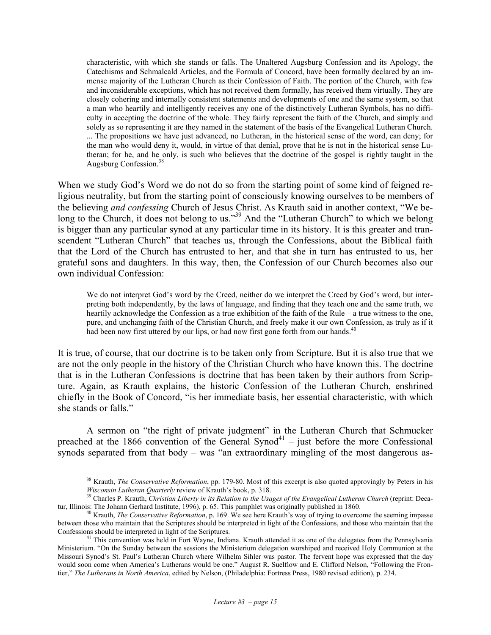characteristic, with which she stands or falls. The Unaltered Augsburg Confession and its Apology, the Catechisms and Schmalcald Articles, and the Formula of Concord, have been formally declared by an immense majority of the Lutheran Church as their Confession of Faith. The portion of the Church, with few and inconsiderable exceptions, which has not received them formally, has received them virtually. They are closely cohering and internally consistent statements and developments of one and the same system, so that a man who heartily and intelligently receives any one of the distinctively Lutheran Symbols, has no difficulty in accepting the doctrine of the whole. They fairly represent the faith of the Church, and simply and solely as so representing it are they named in the statement of the basis of the Evangelical Lutheran Church. ... The propositions we have just advanced, no Lutheran, in the historical sense of the word, can deny; for the man who would deny it, would, in virtue of that denial, prove that he is not in the historical sense Lutheran; for he, and he only, is such who believes that the doctrine of the gospel is rightly taught in the Augsburg Confession.<sup>[38](#page-14-0)</sup>

When we study God's Word we do not do so from the starting point of some kind of feigned religious neutrality, but from the starting point of consciously knowing ourselves to be members of the believing *and confessing* Church of Jesus Christ. As Krauth said in another context, "We belong to the Church, it does not belong to us."<sup>39</sup> And the "Lutheran Church" to which we belong is bigger than any particular synod at any particular time in its history. It is this greater and transcendent "Lutheran Church" that teaches us, through the Confessions, about the Biblical faith that the Lord of the Church has entrusted to her, and that she in turn has entrusted to us, her grateful sons and daughters. In this way, then, the Confession of our Church becomes also our own individual Confession:

We do not interpret God's word by the Creed, neither do we interpret the Creed by God's word, but interpreting both independently, by the laws of language, and finding that they teach one and the same truth, we heartily acknowledge the Confession as a true exhibition of the faith of the Rule – a true witness to the one, pure, and unchanging faith of the Christian Church, and freely make it our own Confession, as truly as if it had been now first uttered by our lips, or had now first gone forth from our hands.<sup>[40](#page-14-2)</sup>

It is true, of course, that our doctrine is to be taken only from Scripture. But it is also true that we are not the only people in the history of the Christian Church who have known this. The doctrine that is in the Lutheran Confessions is doctrine that has been taken by their authors from Scripture. Again, as Krauth explains, the historic Confession of the Lutheran Church, enshrined chiefly in the Book of Concord, "is her immediate basis, her essential characteristic, with which she stands or falls."

A sermon on "the right of private judgment" in the Lutheran Church that Schmucker preached at the 1866 convention of the General Synod<sup>41</sup> – just before the more Confessional synods separated from that body – was "an extraordinary mingling of the most dangerous as-

<span id="page-14-2"></span><span id="page-14-1"></span><span id="page-14-0"></span><sup>&</sup>lt;sup>38</sup> Krauth, *The Conservative Reformation*, pp. 179-80. Most of this excerpt is also quoted approvingly by Peters in his *Wisconsin Lutheran Quarterly* review of Krauth's book, p. 318.

<sup>&</sup>lt;sup>39</sup> Charles P. Krauth, *Christian Liberty in its Relation to the Usages of the Evangelical Lutheran Church* (reprint: Decatur, Illinois: The Johann Gerhard Institute, 1996), p. 65. This pamphlet was originally published in 1860.<br><sup>40</sup> Krauth, *The Conservative Reformation*, p. 169. We see here Krauth's way of trying to overcome the seeming imp

between those who maintain that the Scriptures should be interpreted in light of the Confessions, and those who maintain that the Confessions should be interpreted in light of the Scriptures. 41 This convention was held in Fort Wayne, Indiana. Krauth attended it as one of the delegates from the Pennsylvania

<span id="page-14-3"></span>Ministerium. "On the Sunday between the sessions the Ministerium delegation worshiped and received Holy Communion at the Missouri Synod's St. Paul's Lutheran Church where Wilhelm Sihler was pastor. The fervent hope was expressed that the day would soon come when America's Lutherans would be one." August R. Suelflow and E. Clifford Nelson, "Following the Frontier," *The Lutherans in North America*, edited by Nelson, (Philadelphia: Fortress Press, 1980 revised edition), p. 234.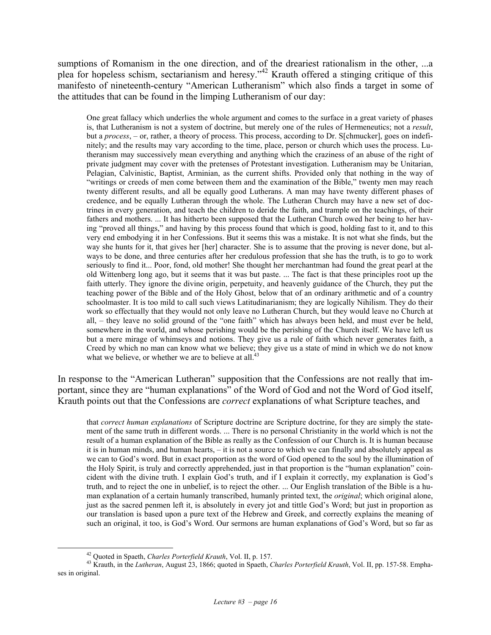sumptions of Romanism in the one direction, and of the dreariest rationalism in the other, ...a plea for hopeless schism, sectarianism and heresy."[42](#page-15-0) Krauth offered a stinging critique of this manifesto of nineteenth-century "American Lutheranism" which also finds a target in some of the attitudes that can be found in the limping Lutheranism of our day:

One great fallacy which underlies the whole argument and comes to the surface in a great variety of phases is, that Lutheranism is not a system of doctrine, but merely one of the rules of Hermeneutics; not a *result*, but a *process*, – or, rather, a theory of process. This process, according to Dr. S[chmucker], goes on indefinitely; and the results may vary according to the time, place, person or church which uses the process. Lutheranism may successively mean everything and anything which the craziness of an abuse of the right of private judgment may cover with the pretenses of Protestant investigation. Lutheranism may be Unitarian, Pelagian, Calvinistic, Baptist, Arminian, as the current shifts. Provided only that nothing in the way of "writings or creeds of men come between them and the examination of the Bible," twenty men may reach twenty different results, and all be equally good Lutherans. A man may have twenty different phases of credence, and be equally Lutheran through the whole. The Lutheran Church may have a new set of doctrines in every generation, and teach the children to deride the faith, and trample on the teachings, of their fathers and mothers. ... It has hitherto been supposed that the Lutheran Church owed her being to her having "proved all things," and having by this process found that which is good, holding fast to it, and to this very end embodying it in her Confessions. But it seems this was a mistake. It is not what she finds, but the way she hunts for it, that gives her [her] character. She is to assume that the proving is never done, but always to be done, and three centuries after her credulous profession that she has the truth, is to go to work seriously to find it... Poor, fond, old mother! She thought her merchantman had found the great pearl at the old Wittenberg long ago, but it seems that it was but paste. ... The fact is that these principles root up the faith utterly. They ignore the divine origin, perpetuity, and heavenly guidance of the Church, they put the teaching power of the Bible and of the Holy Ghost, below that of an ordinary arithmetic and of a country schoolmaster. It is too mild to call such views Latitudinarianism; they are logically Nihilism. They do their work so effectually that they would not only leave no Lutheran Church, but they would leave no Church at all, – they leave no solid ground of the "one faith" which has always been held, and must ever be held, somewhere in the world, and whose perishing would be the perishing of the Church itself. We have left us but a mere mirage of whimseys and notions. They give us a rule of faith which never generates faith, a Creed by which no man can know what we believe; they give us a state of mind in which we do not know what we believe, or whether we are to believe at all.<sup>[43](#page-15-1)</sup>

In response to the "American Lutheran" supposition that the Confessions are not really that important, since they are "human explanations" of the Word of God and not the Word of God itself, Krauth points out that the Confessions are *correct* explanations of what Scripture teaches, and

that *correct human explanations* of Scripture doctrine are Scripture doctrine, for they are simply the statement of the same truth in different words. ... There is no personal Christianity in the world which is not the result of a human explanation of the Bible as really as the Confession of our Church is. It is human because it is in human minds, and human hearts, – it is not a source to which we can finally and absolutely appeal as we can to God's word. But in exact proportion as the word of God opened to the soul by the illumination of the Holy Spirit, is truly and correctly apprehended, just in that proportion is the "human explanation" coincident with the divine truth. I explain God's truth, and if I explain it correctly, my explanation is God's truth, and to reject the one in unbelief, is to reject the other. ... Our English translation of the Bible is a human explanation of a certain humanly transcribed, humanly printed text, the *original*; which original alone, just as the sacred penmen left it, is absolutely in every jot and tittle God's Word; but just in proportion as our translation is based upon a pure text of the Hebrew and Greek, and correctly explains the meaning of such an original, it too, is God's Word. Our sermons are human explanations of God's Word, but so far as

<span id="page-15-1"></span><span id="page-15-0"></span>

<sup>&</sup>lt;sup>42</sup> Quoted in Spaeth, *Charles Porterfield Krauth*, Vol. II, p. 157.<br><sup>43</sup> Krauth, in the *Lutheran*, August 23, 1866; quoted in Spaeth, *Charles Porterfield Krauth*, Vol. II, pp. 157-58. Emphases in original.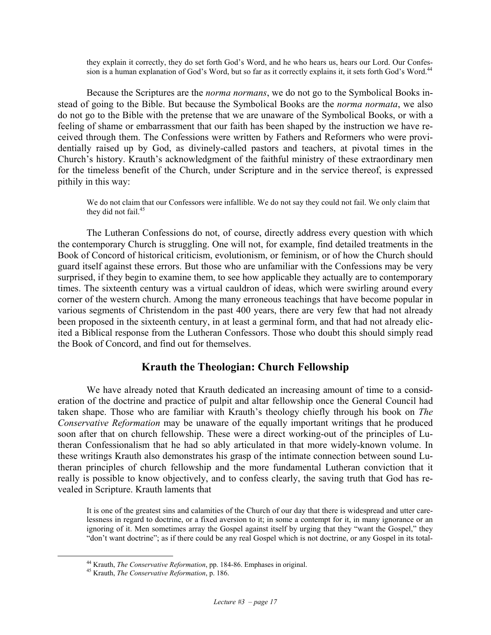they explain it correctly, they do set forth God's Word, and he who hears us, hears our Lord. Our Confession is a human explanation of God's Word, but so far as it correctly explains it, it sets forth God's Word.<sup>44</sup>

Because the Scriptures are the *norma normans*, we do not go to the Symbolical Books instead of going to the Bible. But because the Symbolical Books are the *norma normata*, we also do not go to the Bible with the pretense that we are unaware of the Symbolical Books, or with a feeling of shame or embarrassment that our faith has been shaped by the instruction we have received through them. The Confessions were written by Fathers and Reformers who were providentially raised up by God, as divinely-called pastors and teachers, at pivotal times in the Church's history. Krauth's acknowledgment of the faithful ministry of these extraordinary men for the timeless benefit of the Church, under Scripture and in the service thereof, is expressed pithily in this way:

We do not claim that our Confessors were infallible. We do not say they could not fail. We only claim that they did not fail. [45](#page-16-1)

The Lutheran Confessions do not, of course, directly address every question with which the contemporary Church is struggling. One will not, for example, find detailed treatments in the Book of Concord of historical criticism, evolutionism, or feminism, or of how the Church should guard itself against these errors. But those who are unfamiliar with the Confessions may be very surprised, if they begin to examine them, to see how applicable they actually are to contemporary times. The sixteenth century was a virtual cauldron of ideas, which were swirling around every corner of the western church. Among the many erroneous teachings that have become popular in various segments of Christendom in the past 400 years, there are very few that had not already been proposed in the sixteenth century, in at least a germinal form, and that had not already elicited a Biblical response from the Lutheran Confessors. Those who doubt this should simply read the Book of Concord, and find out for themselves.

#### **Krauth the Theologian: Church Fellowship**

We have already noted that Krauth dedicated an increasing amount of time to a consideration of the doctrine and practice of pulpit and altar fellowship once the General Council had taken shape. Those who are familiar with Krauth's theology chiefly through his book on *The Conservative Reformation* may be unaware of the equally important writings that he produced soon after that on church fellowship. These were a direct working-out of the principles of Lutheran Confessionalism that he had so ably articulated in that more widely-known volume. In these writings Krauth also demonstrates his grasp of the intimate connection between sound Lutheran principles of church fellowship and the more fundamental Lutheran conviction that it really is possible to know objectively, and to confess clearly, the saving truth that God has revealed in Scripture. Krauth laments that

It is one of the greatest sins and calamities of the Church of our day that there is widespread and utter carelessness in regard to doctrine, or a fixed aversion to it; in some a contempt for it, in many ignorance or an ignoring of it. Men sometimes array the Gospel against itself by urging that they "want the Gospel," they "don't want doctrine"; as if there could be any real Gospel which is not doctrine, or any Gospel in its total-

<span id="page-16-0"></span> <sup>44</sup> Krauth, *The Conservative Reformation*, pp. 184-86. Emphases in original. 45 Krauth, *The Conservative Reformation*, p. 186.

<span id="page-16-1"></span>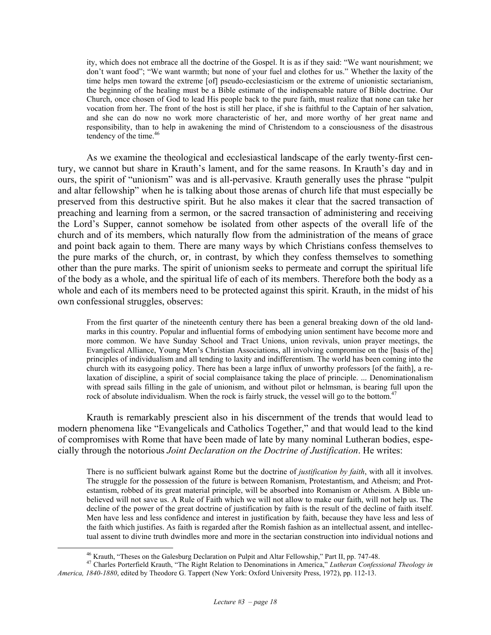ity, which does not embrace all the doctrine of the Gospel. It is as if they said: "We want nourishment; we don't want food"; "We want warmth; but none of your fuel and clothes for us." Whether the laxity of the time helps men toward the extreme [of] pseudo-ecclesiasticism or the extreme of unionistic sectarianism, the beginning of the healing must be a Bible estimate of the indispensable nature of Bible doctrine. Our Church, once chosen of God to lead His people back to the pure faith, must realize that none can take her vocation from her. The front of the host is still her place, if she is faithful to the Captain of her salvation, and she can do now no work more characteristic of her, and more worthy of her great name and responsibility, than to help in awakening the mind of Christendom to a consciousness of the disastrous tendency of the time.<sup>[46](#page-17-0)</sup>

As we examine the theological and ecclesiastical landscape of the early twenty-first century, we cannot but share in Krauth's lament, and for the same reasons. In Krauth's day and in ours, the spirit of "unionism" was and is all-pervasive. Krauth generally uses the phrase "pulpit and altar fellowship" when he is talking about those arenas of church life that must especially be preserved from this destructive spirit. But he also makes it clear that the sacred transaction of preaching and learning from a sermon, or the sacred transaction of administering and receiving the Lord's Supper, cannot somehow be isolated from other aspects of the overall life of the church and of its members, which naturally flow from the administration of the means of grace and point back again to them. There are many ways by which Christians confess themselves to the pure marks of the church, or, in contrast, by which they confess themselves to something other than the pure marks. The spirit of unionism seeks to permeate and corrupt the spiritual life of the body as a whole, and the spiritual life of each of its members. Therefore both the body as a whole and each of its members need to be protected against this spirit. Krauth, in the midst of his own confessional struggles, observes:

From the first quarter of the nineteenth century there has been a general breaking down of the old landmarks in this country. Popular and influential forms of embodying union sentiment have become more and more common. We have Sunday School and Tract Unions, union revivals, union prayer meetings, the Evangelical Alliance, Young Men's Christian Associations, all involving compromise on the [basis of the] principles of individualism and all tending to laxity and indifferentism. The world has been coming into the church with its easygoing policy. There has been a large influx of unworthy professors [of the faith], a relaxation of discipline, a spirit of social complaisance taking the place of principle. ... Denominationalism with spread sails filling in the gale of unionism, and without pilot or helmsman, is bearing full upon the rock of absolute individualism. When the rock is fairly struck, the vessel will go to the bottom.<sup>[47](#page-17-1)</sup>

Krauth is remarkably prescient also in his discernment of the trends that would lead to modern phenomena like "Evangelicals and Catholics Together," and that would lead to the kind of compromises with Rome that have been made of late by many nominal Lutheran bodies, especially through the notorious *Joint Declaration on the Doctrine of Justification*. He writes:

There is no sufficient bulwark against Rome but the doctrine of *justification by faith*, with all it involves. The struggle for the possession of the future is between Romanism, Protestantism, and Atheism; and Protestantism, robbed of its great material principle, will be absorbed into Romanism or Atheism. A Bible unbelieved will not save us. A Rule of Faith which we will not allow to make our faith, will not help us. The decline of the power of the great doctrine of justification by faith is the result of the decline of faith itself. Men have less and less confidence and interest in justification by faith, because they have less and less of the faith which justifies. As faith is regarded after the Romish fashion as an intellectual assent, and intellectual assent to divine truth dwindles more and more in the sectarian construction into individual notions and

<span id="page-17-1"></span><span id="page-17-0"></span>

<sup>&</sup>lt;sup>46</sup> Krauth, "Theses on the Galesburg Declaration on Pulpit and Altar Fellowship," Part II, pp. 747-48.<br><sup>47</sup> Charles Porterfield Krauth, "The Right Relation to Denominations in America," *Lutheran Confessional Theology in America, 1840-1880*, edited by Theodore G. Tappert (New York: Oxford University Press, 1972), pp. 112-13.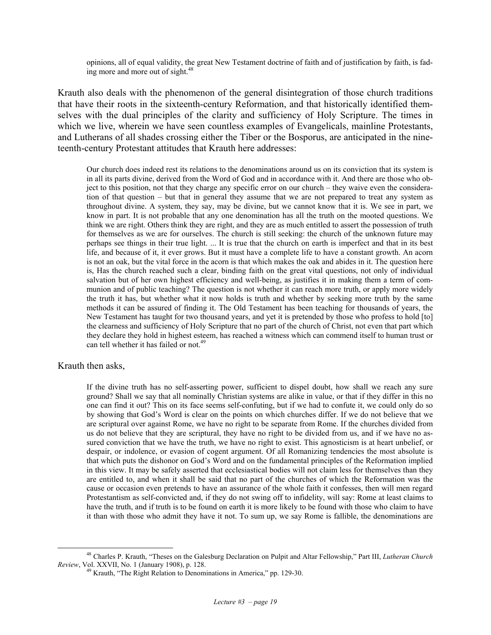opinions, all of equal validity, the great New Testament doctrine of faith and of justification by faith, is fad-ing more and more out of sight.<sup>[48](#page-18-0)</sup>

Krauth also deals with the phenomenon of the general disintegration of those church traditions that have their roots in the sixteenth-century Reformation, and that historically identified themselves with the dual principles of the clarity and sufficiency of Holy Scripture. The times in which we live, wherein we have seen countless examples of Evangelicals, mainline Protestants, and Lutherans of all shades crossing either the Tiber or the Bosporus, are anticipated in the nineteenth-century Protestant attitudes that Krauth here addresses:

Our church does indeed rest its relations to the denominations around us on its conviction that its system is in all its parts divine, derived from the Word of God and in accordance with it. And there are those who object to this position, not that they charge any specific error on our church – they waive even the consideration of that question – but that in general they assume that we are not prepared to treat any system as throughout divine. A system, they say, may be divine, but we cannot know that it is. We see in part, we know in part. It is not probable that any one denomination has all the truth on the mooted questions. We think we are right. Others think they are right, and they are as much entitled to assert the possession of truth for themselves as we are for ourselves. The church is still seeking: the church of the unknown future may perhaps see things in their true light. ... It is true that the church on earth is imperfect and that in its best life, and because of it, it ever grows. But it must have a complete life to have a constant growth. An acorn is not an oak, but the vital force in the acorn is that which makes the oak and abides in it. The question here is, Has the church reached such a clear, binding faith on the great vital questions, not only of individual salvation but of her own highest efficiency and well-being, as justifies it in making them a term of communion and of public teaching? The question is not whether it can reach more truth, or apply more widely the truth it has, but whether what it now holds is truth and whether by seeking more truth by the same methods it can be assured of finding it. The Old Testament has been teaching for thousands of years, the New Testament has taught for two thousand years, and yet it is pretended by those who profess to hold [to] the clearness and sufficiency of Holy Scripture that no part of the church of Christ, not even that part which they declare they hold in highest esteem, has reached a witness which can commend itself to human trust or can tell whether it has failed or not.<sup>[49](#page-18-1)</sup>

#### Krauth then asks,

If the divine truth has no self-asserting power, sufficient to dispel doubt, how shall we reach any sure ground? Shall we say that all nominally Christian systems are alike in value, or that if they differ in this no one can find it out? This on its face seems self-confuting, but if we had to confute it, we could only do so by showing that God's Word is clear on the points on which churches differ. If we do not believe that we are scriptural over against Rome, we have no right to be separate from Rome. If the churches divided from us do not believe that they are scriptural, they have no right to be divided from us, and if we have no assured conviction that we have the truth, we have no right to exist. This agnosticism is at heart unbelief, or despair, or indolence, or evasion of cogent argument. Of all Romanizing tendencies the most absolute is that which puts the dishonor on God's Word and on the fundamental principles of the Reformation implied in this view. It may be safely asserted that ecclesiastical bodies will not claim less for themselves than they are entitled to, and when it shall be said that no part of the churches of which the Reformation was the cause or occasion even pretends to have an assurance of the whole faith it confesses, then will men regard Protestantism as self-convicted and, if they do not swing off to infidelity, will say: Rome at least claims to have the truth, and if truth is to be found on earth it is more likely to be found with those who claim to have it than with those who admit they have it not. To sum up, we say Rome is fallible, the denominations are

 <sup>48</sup> Charles P. Krauth, "Theses on the Galesburg Declaration on Pulpit and Altar Fellowship," Part III, *Lutheran Church* 

<span id="page-18-1"></span><span id="page-18-0"></span><sup>&</sup>lt;sup>49</sup> Krauth, "The Right Relation to Denominations in America," pp. 129-30.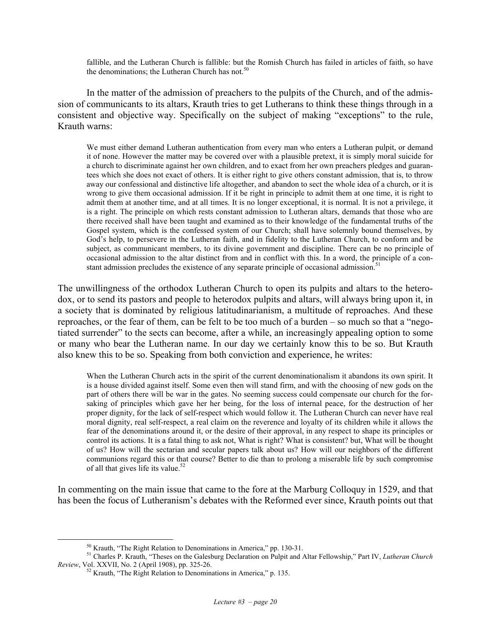fallible, and the Lutheran Church is fallible: but the Romish Church has failed in articles of faith, so have the denominations; the Lutheran Church has not.<sup>[50](#page-19-0)</sup>

In the matter of the admission of preachers to the pulpits of the Church, and of the admission of communicants to its altars, Krauth tries to get Lutherans to think these things through in a consistent and objective way. Specifically on the subject of making "exceptions" to the rule, Krauth warns:

We must either demand Lutheran authentication from every man who enters a Lutheran pulpit, or demand it of none. However the matter may be covered over with a plausible pretext, it is simply moral suicide for a church to discriminate against her own children, and to exact from her own preachers pledges and guarantees which she does not exact of others. It is either right to give others constant admission, that is, to throw away our confessional and distinctive life altogether, and abandon to sect the whole idea of a church, or it is wrong to give them occasional admission. If it be right in principle to admit them at one time, it is right to admit them at another time, and at all times. It is no longer exceptional, it is normal. It is not a privilege, it is a right. The principle on which rests constant admission to Lutheran altars, demands that those who are there received shall have been taught and examined as to their knowledge of the fundamental truths of the Gospel system, which is the confessed system of our Church; shall have solemnly bound themselves, by God's help, to persevere in the Lutheran faith, and in fidelity to the Lutheran Church, to conform and be subject, as communicant members, to its divine government and discipline. There can be no principle of occasional admission to the altar distinct from and in conflict with this. In a word, the principle of a con-stant admission precludes the existence of any separate principle of occasional admission.<sup>[51](#page-19-1)</sup>

The unwillingness of the orthodox Lutheran Church to open its pulpits and altars to the heterodox, or to send its pastors and people to heterodox pulpits and altars, will always bring upon it, in a society that is dominated by religious latitudinarianism, a multitude of reproaches. And these reproaches, or the fear of them, can be felt to be too much of a burden – so much so that a "negotiated surrender" to the sects can become, after a while, an increasingly appealing option to some or many who bear the Lutheran name. In our day we certainly know this to be so. But Krauth also knew this to be so. Speaking from both conviction and experience, he writes:

When the Lutheran Church acts in the spirit of the current denominationalism it abandons its own spirit. It is a house divided against itself. Some even then will stand firm, and with the choosing of new gods on the part of others there will be war in the gates. No seeming success could compensate our church for the forsaking of principles which gave her her being, for the loss of internal peace, for the destruction of her proper dignity, for the lack of self-respect which would follow it. The Lutheran Church can never have real moral dignity, real self-respect, a real claim on the reverence and loyalty of its children while it allows the fear of the denominations around it, or the desire of their approval, in any respect to shape its principles or control its actions. It is a fatal thing to ask not, What is right? What is consistent? but, What will be thought of us? How will the sectarian and secular papers talk about us? How will our neighbors of the different communions regard this or that course? Better to die than to prolong a miserable life by such compromise of all that gives life its value.<sup>52</sup>

In commenting on the main issue that came to the fore at the Marburg Colloquy in 1529, and that has been the focus of Lutheranism's debates with the Reformed ever since, Krauth points out that

<span id="page-19-1"></span><span id="page-19-0"></span>

 <sup>50</sup> Krauth, "The Right Relation to Denominations in America," pp. 130-31. 51 Charles P. Krauth, "Theses on the Galesburg Declaration on Pulpit and Altar Fellowship," Part IV, *Lutheran Church* 

<span id="page-19-2"></span><sup>&</sup>lt;sup>52</sup> Krauth, "The Right Relation to Denominations in America," p. 135.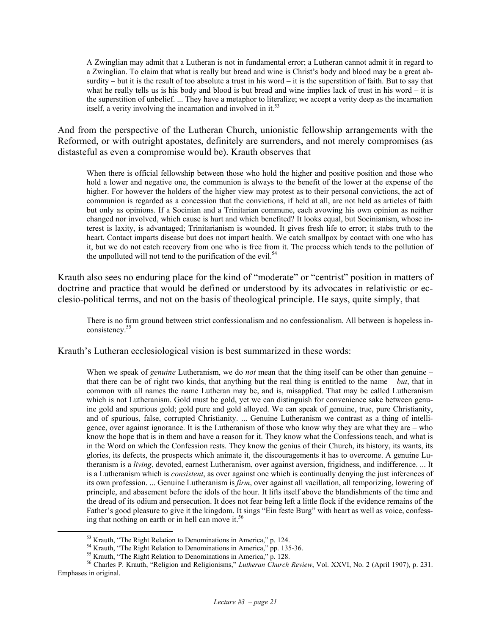A Zwinglian may admit that a Lutheran is not in fundamental error; a Lutheran cannot admit it in regard to a Zwinglian. To claim that what is really but bread and wine is Christ's body and blood may be a great absurdity – but it is the result of too absolute a trust in his word – it is the superstition of faith. But to say that what he really tells us is his body and blood is but bread and wine implies lack of trust in his word – it is the superstition of unbelief. ... They have a metaphor to literalize; we accept a verity deep as the incarnation itself, a verity involving the incarnation and involved in it.<sup>[53](#page-20-0)</sup>

And from the perspective of the Lutheran Church, unionistic fellowship arrangements with the Reformed, or with outright apostates, definitely are surrenders, and not merely compromises (as distasteful as even a compromise would be). Krauth observes that

When there is official fellowship between those who hold the higher and positive position and those who hold a lower and negative one, the communion is always to the benefit of the lower at the expense of the higher. For however the holders of the higher view may protest as to their personal convictions, the act of communion is regarded as a concession that the convictions, if held at all, are not held as articles of faith but only as opinions. If a Socinian and a Trinitarian commune, each avowing his own opinion as neither changed nor involved, which cause is hurt and which benefited? It looks equal, but Socinianism, whose interest is laxity, is advantaged; Trinitarianism is wounded. It gives fresh life to error; it stabs truth to the heart. Contact imparts disease but does not impart health. We catch smallpox by contact with one who has it, but we do not catch recovery from one who is free from it. The process which tends to the pollution of the unpolluted will not tend to the purification of the evil.<sup>[54](#page-20-1)</sup>

Krauth also sees no enduring place for the kind of "moderate" or "centrist" position in matters of doctrine and practice that would be defined or understood by its advocates in relativistic or ecclesio-political terms, and not on the basis of theological principle. He says, quite simply, that

 There is no firm ground between strict confessionalism and no confessionalism. All between is hopeless inconsistency. [55](#page-20-2)

Krauth's Lutheran ecclesiological vision is best summarized in these words:

When we speak of *genuine* Lutheranism, we do *not* mean that the thing itself can be other than genuine – that there can be of right two kinds, that anything but the real thing is entitled to the name – *but*, that in common with all names the name Lutheran may be, and is, misapplied. That may be called Lutheranism which is not Lutheranism. Gold must be gold, yet we can distinguish for convenience sake between genuine gold and spurious gold; gold pure and gold alloyed. We can speak of genuine, true, pure Christianity, and of spurious, false, corrupted Christianity. ... Genuine Lutheranism we contrast as a thing of intelligence, over against ignorance. It is the Lutheranism of those who know why they are what they are – who know the hope that is in them and have a reason for it. They know what the Confessions teach, and what is in the Word on which the Confession rests. They know the genius of their Church, its history, its wants, its glories, its defects, the prospects which animate it, the discouragements it has to overcome. A genuine Lutheranism is a *living*, devoted, earnest Lutheranism, over against aversion, frigidness, and indifference. ... It is a Lutheranism which is *consistent*, as over against one which is continually denying the just inferences of its own profession. ... Genuine Lutheranism is *firm*, over against all vacillation, all temporizing, lowering of principle, and abasement before the idols of the hour. It lifts itself above the blandishments of the time and the dread of its odium and persecution. It does not fear being left a little flock if the evidence remains of the Father's good pleasure to give it the kingdom. It sings "Ein feste Burg" with heart as well as voice, confessing that nothing on earth or in hell can move it. [56](#page-20-3)

<span id="page-20-0"></span>

<span id="page-20-1"></span>

<span id="page-20-3"></span><span id="page-20-2"></span>

<sup>&</sup>lt;sup>53</sup> Krauth, "The Right Relation to Denominations in America," p. 124.<br><sup>54</sup> Krauth, "The Right Relation to Denominations in America," pp. 135-36.<br><sup>55</sup> Krauth, "The Right Relation to Denominations in America," p. 128.<br><sup>56</sup> Emphases in original.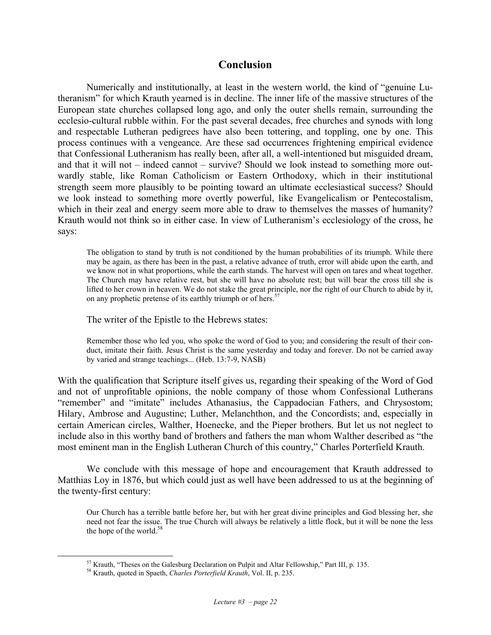#### **Conclusion**

Numerically and institutionally, at least in the western world, the kind of "genuine Lutheranism" for which Krauth yearned is in decline. The inner life of the massive structures of the European state churches collapsed long ago, and only the outer shells remain, surrounding the ecclesio-cultural rubble within. For the past several decades, free churches and synods with long and respectable Lutheran pedigrees have also been tottering, and toppling, one by one. This process continues with a vengeance. Are these sad occurrences frightening empirical evidence that Confessional Lutheranism has really been, after all, a well-intentioned but misguided dream, and that it will not – indeed cannot – survive? Should we look instead to something more outwardly stable, like Roman Catholicism or Eastern Orthodoxy, which in their institutional strength seem more plausibly to be pointing toward an ultimate ecclesiastical success? Should we look instead to something more overtly powerful, like Evangelicalism or Pentecostalism, which in their zeal and energy seem more able to draw to themselves the masses of humanity? Krauth would not think so in either case. In view of Lutheranism's ecclesiology of the cross, he says:

The obligation to stand by truth is not conditioned by the human probabilities of its triumph. While there may be again, as there has been in the past, a relative advance of truth, error will abide upon the earth, and we know not in what proportions, while the earth stands. The harvest will open on tares and wheat together. The Church may have relative rest, but she will have no absolute rest; but will bear the cross till she is lifted to her crown in heaven. We do not stake the great principle, nor the right of our Church to abide by it, on any prophetic pretense of its earthly triumph or of hers.<sup>[57](#page-21-0)</sup>

The writer of the Epistle to the Hebrews states:

Remember those who led you, who spoke the word of God to you; and considering the result of their conduct, imitate their faith. Jesus Christ is the same yesterday and today and forever. Do not be carried away by varied and strange teachings... (Heb. 13:7-9, NASB)

With the qualification that Scripture itself gives us, regarding their speaking of the Word of God and not of unprofitable opinions, the noble company of those whom Confessional Lutherans "remember" and "imitate" includes Athanasius, the Cappadocian Fathers, and Chrysostom; Hilary, Ambrose and Augustine; Luther, Melanchthon, and the Concordists; and, especially in certain American circles, Walther, Hoenecke, and the Pieper brothers. But let us not neglect to include also in this worthy band of brothers and fathers the man whom Walther described as "the most eminent man in the English Lutheran Church of this country," Charles Porterfield Krauth.

We conclude with this message of hope and encouragement that Krauth addressed to Matthias Loy in 1876, but which could just as well have been addressed to us at the beginning of the twenty-first century:

Our Church has a terrible battle before her, but with her great divine principles and God blessing her, she need not fear the issue. The true Church will always be relatively a little flock, but it will be none the less the hope of the world. $58$ 

<span id="page-21-0"></span> <sup>57</sup> Krauth, "Theses on the Galesburg Declaration on Pulpit and Altar Fellowship," Part III, p. 135. 58 Krauth, quoted in Spaeth, *Charles Porterfield Krauth*, Vol. II, p. 235.

<span id="page-21-1"></span>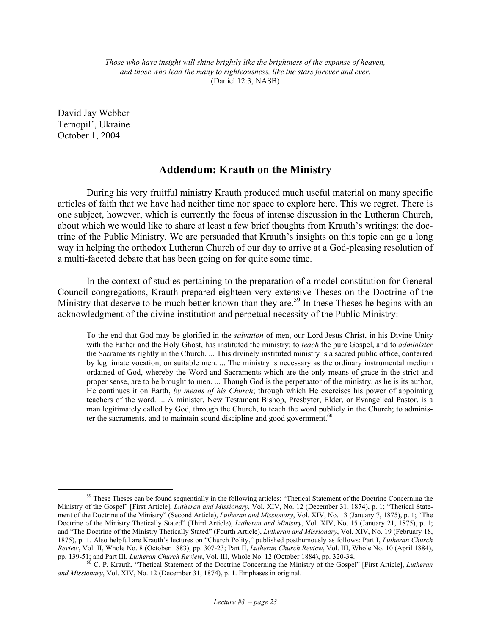*Those who have insight will shine brightly like the brightness of the expanse of heaven, and those who lead the many to righteousness, like the stars forever and ever.*  (Daniel 12:3, NASB)

David Jay Webber Ternopil', Ukraine October 1, 2004

#### **Addendum: Krauth on the Ministry**

During his very fruitful ministry Krauth produced much useful material on many specific articles of faith that we have had neither time nor space to explore here. This we regret. There is one subject, however, which is currently the focus of intense discussion in the Lutheran Church, about which we would like to share at least a few brief thoughts from Krauth's writings: the doctrine of the Public Ministry. We are persuaded that Krauth's insights on this topic can go a long way in helping the orthodox Lutheran Church of our day to arrive at a God-pleasing resolution of a multi-faceted debate that has been going on for quite some time.

In the context of studies pertaining to the preparation of a model constitution for General Council congregations, Krauth prepared eighteen very extensive Theses on the Doctrine of the Ministry that deserve to be much better known than they are.<sup>59</sup> In these Theses he begins with an acknowledgment of the divine institution and perpetual necessity of the Public Ministry:

To the end that God may be glorified in the *salvation* of men, our Lord Jesus Christ, in his Divine Unity with the Father and the Holy Ghost, has instituted the ministry; to *teach* the pure Gospel, and to *administer* the Sacraments rightly in the Church. ... This divinely instituted ministry is a sacred public office, conferred by legitimate vocation, on suitable men. ... The ministry is necessary as the ordinary instrumental medium ordained of God, whereby the Word and Sacraments which are the only means of grace in the strict and proper sense, are to be brought to men. ... Though God is the perpetuator of the ministry, as he is its author, He continues it on Earth, *by means of his Church*; through which He exercises his power of appointing teachers of the word. ... A minister, New Testament Bishop, Presbyter, Elder, or Evangelical Pastor, is a man legitimately called by God, through the Church, to teach the word publicly in the Church; to adminis-ter the sacraments, and to maintain sound discipline and good government.<sup>[60](#page-22-1)</sup>

<span id="page-22-0"></span><sup>&</sup>lt;sup>59</sup> These Theses can be found sequentially in the following articles: "Thetical Statement of the Doctrine Concerning the Ministry of the Gospel" [First Article], *Lutheran and Missionary*, Vol. XIV, No. 12 (December 31, 1874), p. 1; "Thetical Statement of the Doctrine of the Ministry" (Second Article), *Lutheran and Missionary*, Vol. XIV, No. 13 (January 7, 1875), p. 1; "The Doctrine of the Ministry Thetically Stated" (Third Article), *Lutheran and Ministry*, Vol. XIV, No. 15 (January 21, 1875), p. 1; and "The Doctrine of the Ministry Thetically Stated" (Fourth Article), *Lutheran and Missionary*, Vol. XIV, No. 19 (February 18, 1875), p. 1. Also helpful are Krauth's lectures on "Church Polity," published posthumously as follows: Part I, *Lutheran Church Review*, Vol. II, Whole No. 8 (October 1883), pp. 307-23; Part II, *Lutheran Church Review*, Vol. III, Whole No. 10 (April 1884), pp. 139-51; and Part III, *Lutheran Church Review*, Vol. III, Whole No. 12 (October 1884), pp. 320-34.<br><sup>60</sup> C. P. Krauth, "Thetical Statement of the Doctrine Concerning the Ministry of the Gospel" [First Article], *Luthera* 

<span id="page-22-1"></span>*and Missionary*, Vol. XIV, No. 12 (December 31, 1874), p. 1. Emphases in original.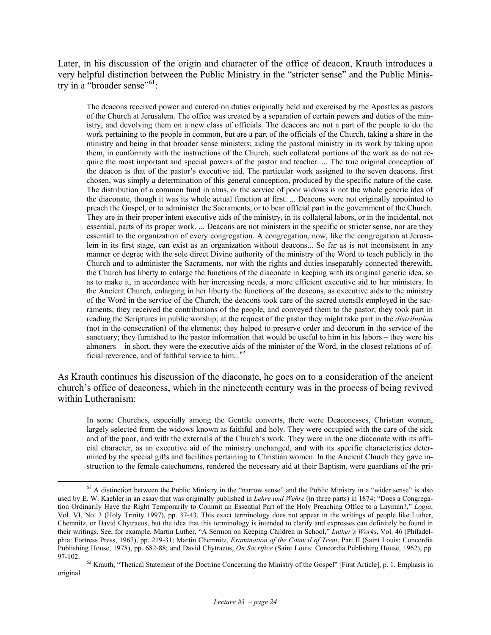Later, in his discussion of the origin and character of the office of deacon, Krauth introduces a very helpful distinction between the Public Ministry in the "stricter sense" and the Public Ministry in a "broader sense"<sup>61</sup>:

The deacons received power and entered on duties originally held and exercised by the Apostles as pastors of the Church at Jerusalem. The office was created by a separation of certain powers and duties of the ministry, and devolving them on a new class of officials. The deacons are not a part of the people to do the work pertaining to the people in common, but are a part of the officials of the Church, taking a share in the ministry and being in that broader sense ministers; aiding the pastoral ministry in its work by taking upon them, in conformity with the instructions of the Church, such collateral portions of the work as do not require the most important and special powers of the pastor and teacher. ... The true original conception of the deacon is that of the pastor's executive aid. The particular work assigned to the seven deacons, first chosen, was simply a determination of this general conception, produced by the specific nature of the case. The distribution of a common fund in alms, or the service of poor widows is not the whole generic idea of the diaconate, though it was its whole actual function at first. ... Deacons were not originally appointed to preach the Gospel, or to administer the Sacraments, or to bear official part in the government of the Church. They are in their proper intent executive aids of the ministry, in its collateral labors, or in the incidental, not essential, parts of its proper work. ... Deacons are not ministers in the specific or stricter sense, nor are they essential to the organization of every congregation. A congregation, now, like the congregation at Jerusalem in its first stage, can exist as an organization without deacons... So far as is not inconsistent in any manner or degree with the sole direct Divine authority of the ministry of the Word to teach publicly in the Church and to administer the Sacraments, nor with the rights and duties inseparably connected therewith, the Church has liberty to enlarge the functions of the diaconate in keeping with its original generic idea, so as to make it, in accordance with her increasing needs, a more efficient executive aid to her ministers. In the Ancient Church, enlarging in her liberty the functions of the deacons, as executive aids to the ministry of the Word in the service of the Church, the deacons took care of the sacred utensils employed in the sacraments; they received the contributions of the people, and conveyed them to the pastor; they took part in reading the Scriptures in public worship; at the request of the pastor they might take part in the *distribution* (not in the consecration) of the elements; they helped to preserve order and decorum in the service of the sanctuary; they furnished to the pastor information that would be useful to him in his labors – they were his almoners – in short, they were the executive aids of the minister of the Word, in the closest relations of official reverence, and of faithful service to him..[.62](#page-23-1)

As Krauth continues his discussion of the diaconate, he goes on to a consideration of the ancient church's office of deaconess, which in the nineteenth century was in the process of being revived within Lutheranism:

In some Churches, especially among the Gentile converts, there were Deaconesses, Christian women, largely selected from the widows known as faithful and holy. They were occupied with the care of the sick and of the poor, and with the externals of the Church's work. They were in the one diaconate with its official character, as an executive aid of the ministry unchanged, and with its specific characteristics determined by the special gifts and facilities pertaining to Christian women. In the Ancient Church they gave instruction to the female catechumens, rendered the necessary aid at their Baptism, were guardians of the pri-

<span id="page-23-0"></span> $<sup>61</sup>$  A distinction between the Public Ministry in the "narrow sense" and the Public Ministry in a "wider sense" is also</sup> used by E. W. Kaehler in an essay that was originally published in *Lehre und Wehre* (in three parts) in 1874: "Does a Congregation Ordinarily Have the Right Temporarily to Commit an Essential Part of the Holy Preaching Office to a Layman?," *Logia*, Vol. VI, No. 3 (Holy Trinity 1997), pp. 37-43. This exact terminology does not appear in the writings of people like Luther, Chemnitz, or David Chytraeus, but the idea that this terminology is intended to clarify and expresses can definitely be found in their writings. See, for example, Martin Luther, "A Sermon on Keeping Children in School," *Luther's Works*, Vol. 46 (Philadelphia: Fortress Press, 1967), pp. 219-31; Martin Chemnitz, *Examination of the Council of Trent*, Part II (Saint Louis: Concordia Publishing House, 1978), pp. 682-88; and David Chytraeus, *On Sacrifice* (Saint Louis: Concordia Publishing House, 1962), pp.

<span id="page-23-1"></span><sup>97-102. &</sup>lt;sup>62</sup> Krauth, "Thetical Statement of the Doctrine Concerning the Ministry of the Gospel" [First Article], p. 1. Emphasis in original.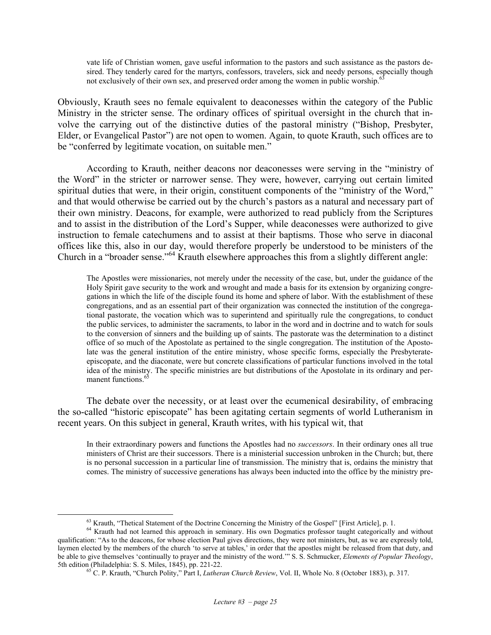vate life of Christian women, gave useful information to the pastors and such assistance as the pastors desired. They tenderly cared for the martyrs, confessors, travelers, sick and needy persons, especially though not exclusively of their own sex, and preserved order among the women in public worship.<sup>6</sup>

Obviously, Krauth sees no female equivalent to deaconesses within the category of the Public Ministry in the stricter sense. The ordinary offices of spiritual oversight in the church that involve the carrying out of the distinctive duties of the pastoral ministry ("Bishop, Presbyter, Elder, or Evangelical Pastor") are not open to women. Again, to quote Krauth, such offices are to be "conferred by legitimate vocation, on suitable men."

According to Krauth, neither deacons nor deaconesses were serving in the "ministry of the Word" in the stricter or narrower sense. They were, however, carrying out certain limited spiritual duties that were, in their origin, constituent components of the "ministry of the Word," and that would otherwise be carried out by the church's pastors as a natural and necessary part of their own ministry. Deacons, for example, were authorized to read publicly from the Scriptures and to assist in the distribution of the Lord's Supper, while deaconesses were authorized to give instruction to female catechumens and to assist at their baptisms. Those who serve in diaconal offices like this, also in our day, would therefore properly be understood to be ministers of the Church in a "broader sense."[64](#page-24-1) Krauth elsewhere approaches this from a slightly different angle:

The Apostles were missionaries, not merely under the necessity of the case, but, under the guidance of the Holy Spirit gave security to the work and wrought and made a basis for its extension by organizing congregations in which the life of the disciple found its home and sphere of labor. With the establishment of these congregations, and as an essential part of their organization was connected the institution of the congregational pastorate, the vocation which was to superintend and spiritually rule the congregations, to conduct the public services, to administer the sacraments, to labor in the word and in doctrine and to watch for souls to the conversion of sinners and the building up of saints. The pastorate was the determination to a distinct office of so much of the Apostolate as pertained to the single congregation. The institution of the Apostolate was the general institution of the entire ministry, whose specific forms, especially the Presbyterateepiscopate, and the diaconate, were but concrete classifications of particular functions involved in the total idea of the ministry. The specific ministries are but distributions of the Apostolate in its ordinary and permanent functions.<sup>65</sup>

The debate over the necessity, or at least over the ecumenical desirability, of embracing the so-called "historic episcopate" has been agitating certain segments of world Lutheranism in recent years. On this subject in general, Krauth writes, with his typical wit, that

In their extraordinary powers and functions the Apostles had no *successors*. In their ordinary ones all true ministers of Christ are their successors. There is a ministerial succession unbroken in the Church; but, there is no personal succession in a particular line of transmission. The ministry that is, ordains the ministry that comes. The ministry of successive generations has always been inducted into the office by the ministry pre-

<span id="page-24-1"></span><span id="page-24-0"></span>

 $^{63}$  Krauth, "Thetical Statement of the Doctrine Concerning the Ministry of the Gospel" [First Article], p. 1.  $^{64}$  Krauth had not learned this approach in seminary. His own Dogmatics professor taught categorically an qualification: "As to the deacons, for whose election Paul gives directions, they were not ministers, but, as we are expressly told, laymen elected by the members of the church 'to serve at tables,' in order that the apostles might be released from that duty, and be able to give themselves 'continually to prayer and the ministry of the word.'" S. S. Schmucker, *Elements of Popular Theology*, 5th edition (Philadelphia: S. S. Miles, 1845), pp. 221-22.<br><sup>65</sup> C. P. Krauth, "Church Polity," Part I, *Lutheran Church Review*, Vol. II, Whole No. 8 (October 1883), p. 317.

<span id="page-24-2"></span>